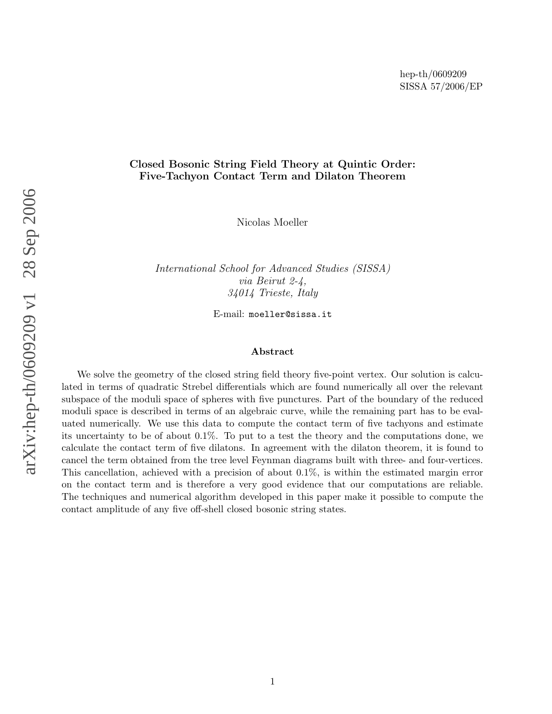### Closed Bosonic String Field Theory at Quintic Order: Five-Tachyon Contact Term and Dilaton Theorem

Nicolas Moeller

International School for Advanced Studies (SISSA) via Beirut 2-4, 34014 Trieste, Italy

E-mail: moeller@sissa.it

#### Abstract

We solve the geometry of the closed string field theory five-point vertex. Our solution is calculated in terms of quadratic Strebel differentials which are found numerically all over the relevant subspace of the moduli space of spheres with five punctures. Part of the boundary of the reduced moduli space is described in terms of an algebraic curve, while the remaining part has to be evaluated numerically. We use this data to compute the contact term of five tachyons and estimate its uncertainty to be of about 0 .1%. To put to a test the theory and the computations done, we calculate the contact term of five dilatons. In agreement with the dilaton theorem, it is found to cancel the term obtained from the tree level Feynman diagrams built with three- and four-vertices. This cancellation, achieved with a precision of about 0 .1%, is within the estimated margin error on the contact term and is therefore a very good evidence that our computations are reliable. The techniques and numerical algorithm developed in this paper make it possible to compute the contact amplitude of any five off-shell closed bosonic string states.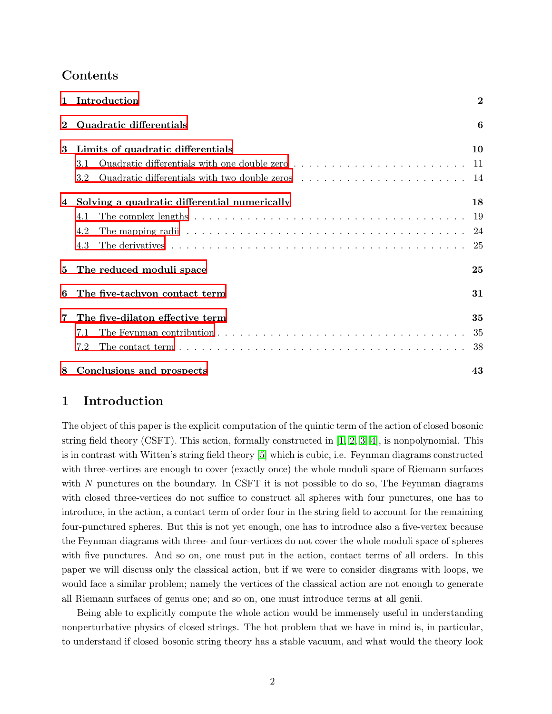# Contents

| $\mathbf{1}$   | Introduction                                                                                                         | $\overline{2}$ |
|----------------|----------------------------------------------------------------------------------------------------------------------|----------------|
| $\overline{2}$ | Quadratic differentials                                                                                              | 6              |
| 3              | Limits of quadratic differentials                                                                                    | 10             |
|                | 3.1                                                                                                                  |                |
|                | 3.2                                                                                                                  |                |
| 4              | Solving a quadratic differential numerically                                                                         | 18             |
|                | The complex lengths $\ldots \ldots \ldots \ldots \ldots \ldots \ldots \ldots \ldots \ldots \ldots \ldots$<br>4.1     |                |
|                | 4.2                                                                                                                  |                |
|                | 4.3                                                                                                                  |                |
| 5              | The reduced moduli space                                                                                             | 25             |
| 6              | The five-tachyon contact term                                                                                        | 31             |
| 7              | The five-dilaton effective term                                                                                      | 35             |
|                | The Feynman contribution $\ldots \ldots \ldots \ldots \ldots \ldots \ldots \ldots \ldots \ldots \ldots$<br>7.1       |                |
|                | The contact term $\ldots \ldots \ldots \ldots \ldots \ldots \ldots \ldots \ldots \ldots \ldots \ldots \ldots$<br>7.2 |                |
| 8              | Conclusions and prospects                                                                                            | 43             |

# <span id="page-1-0"></span>1 Introduction

The object of this paper is the explicit computation of the quintic term of the action of closed bosonic string field theory (CSFT). This action, formally constructed in [\[1,](#page-43-0) [2,](#page-43-1) [3,](#page-43-2) [4\]](#page-43-3), is nonpolynomial. This is in contrast with Witten's string field theory [\[5\]](#page-43-4) which is cubic, i.e. Feynman diagrams constructed with three-vertices are enough to cover (exactly once) the whole moduli space of Riemann surfaces with N punctures on the boundary. In CSFT it is not possible to do so, The Feynman diagrams with closed three-vertices do not suffice to construct all spheres with four punctures, one has to introduce, in the action, a contact term of order four in the string field to account for the remaining four-punctured spheres. But this is not yet enough, one has to introduce also a five-vertex because the Feynman diagrams with three- and four-vertices do not cover the whole moduli space of spheres with five punctures. And so on, one must put in the action, contact terms of all orders. In this paper we will discuss only the classical action, but if we were to consider diagrams with loops, we would face a similar problem; namely the vertices of the classical action are not enough to generate all Riemann surfaces of genus one; and so on, one must introduce terms at all genii.

Being able to explicitly compute the whole action would be immensely useful in understanding nonperturbative physics of closed strings. The hot problem that we have in mind is, in particular, to understand if closed bosonic string theory has a stable vacuum, and what would the theory look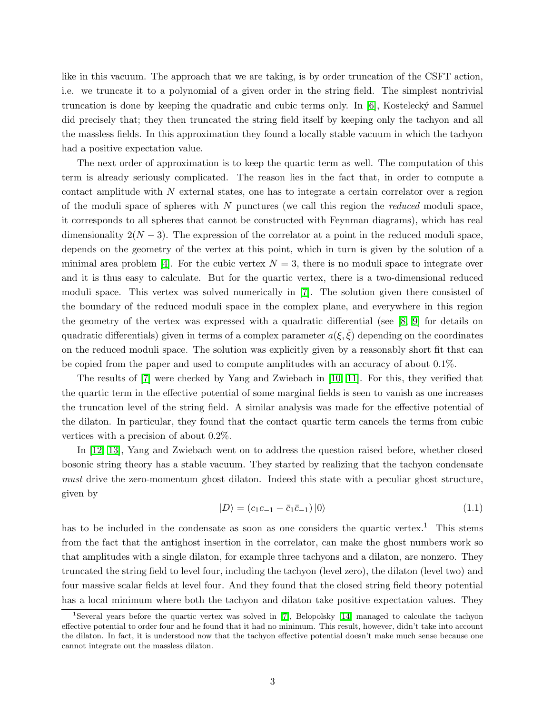like in this vacuum. The approach that we are taking, is by order truncation of the CSFT action, i.e. we truncate it to a polynomial of a given order in the string field. The simplest nontrivial truncation is done by keeping the quadratic and cubic terms only. In  $[6]$ , Kostelecký and Samuel did precisely that; they then truncated the string field itself by keeping only the tachyon and all the massless fields. In this approximation they found a locally stable vacuum in which the tachyon had a positive expectation value.

The next order of approximation is to keep the quartic term as well. The computation of this term is already seriously complicated. The reason lies in the fact that, in order to compute a contact amplitude with N external states, one has to integrate a certain correlator over a region of the moduli space of spheres with  $N$  punctures (we call this region the *reduced* moduli space, it corresponds to all spheres that cannot be constructed with Feynman diagrams), which has real dimensionality  $2(N-3)$ . The expression of the correlator at a point in the reduced moduli space, depends on the geometry of the vertex at this point, which in turn is given by the solution of a minimal area problem [\[4\]](#page-43-3). For the cubic vertex  $N = 3$ , there is no moduli space to integrate over and it is thus easy to calculate. But for the quartic vertex, there is a two-dimensional reduced moduli space. This vertex was solved numerically in [\[7\]](#page-43-6). The solution given there consisted of the boundary of the reduced moduli space in the complex plane, and everywhere in this region the geometry of the vertex was expressed with a quadratic differential (see [\[8,](#page-43-7) [9\]](#page-43-8) for details on quadratic differentials) given in terms of a complex parameter  $a(\xi, \xi)$  depending on the coordinates on the reduced moduli space. The solution was explicitly given by a reasonably short fit that can be copied from the paper and used to compute amplitudes with an accuracy of about 0.1%.

The results of [\[7\]](#page-43-6) were checked by Yang and Zwiebach in [\[10,](#page-43-9) [11\]](#page-43-10). For this, they verified that the quartic term in the effective potential of some marginal fields is seen to vanish as one increases the truncation level of the string field. A similar analysis was made for the effective potential of the dilaton. In particular, they found that the contact quartic term cancels the terms from cubic vertices with a precision of about 0.2%.

<span id="page-2-0"></span>In [\[12,](#page-43-11) [13\]](#page-43-12), Yang and Zwiebach went on to address the question raised before, whether closed bosonic string theory has a stable vacuum. They started by realizing that the tachyon condensate must drive the zero-momentum ghost dilaton. Indeed this state with a peculiar ghost structure, given by

$$
|D\rangle = (c_1c_{-1} - \bar{c}_1\bar{c}_{-1})|0\rangle \tag{1.1}
$$

has to be included in the condensate as soon as one considers the quartic vertex.<sup>1</sup> This stems from the fact that the antighost insertion in the correlator, can make the ghost numbers work so that amplitudes with a single dilaton, for example three tachyons and a dilaton, are nonzero. They truncated the string field to level four, including the tachyon (level zero), the dilaton (level two) and four massive scalar fields at level four. And they found that the closed string field theory potential has a local minimum where both the tachyon and dilaton take positive expectation values. They

<sup>1</sup>Several years before the quartic vertex was solved in [\[7\]](#page-43-6), Belopolsky [\[14\]](#page-43-13) managed to calculate the tachyon effective potential to order four and he found that it had no minimum. This result, however, didn't take into account the dilaton. In fact, it is understood now that the tachyon effective potential doesn't make much sense because one cannot integrate out the massless dilaton.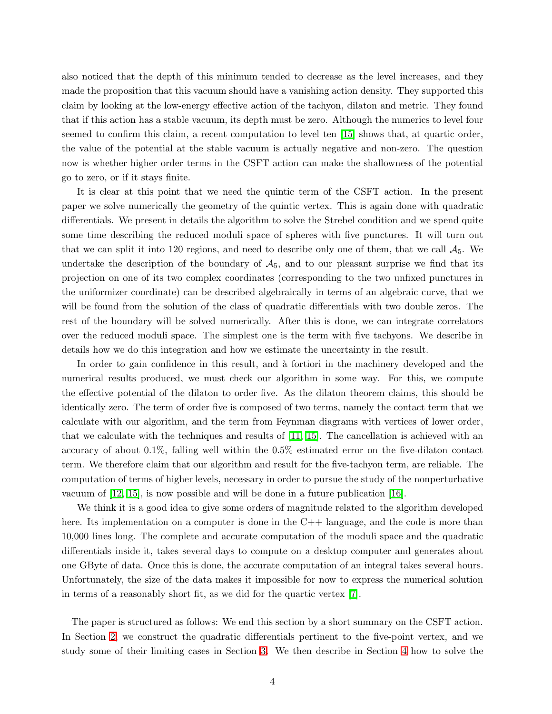also noticed that the depth of this minimum tended to decrease as the level increases, and they made the proposition that this vacuum should have a vanishing action density. They supported this claim by looking at the low-energy effective action of the tachyon, dilaton and metric. They found that if this action has a stable vacuum, its depth must be zero. Although the numerics to level four seemed to confirm this claim, a recent computation to level ten [\[15\]](#page-43-14) shows that, at quartic order, the value of the potential at the stable vacuum is actually negative and non-zero. The question now is whether higher order terms in the CSFT action can make the shallowness of the potential go to zero, or if it stays finite.

It is clear at this point that we need the quintic term of the CSFT action. In the present paper we solve numerically the geometry of the quintic vertex. This is again done with quadratic differentials. We present in details the algorithm to solve the Strebel condition and we spend quite some time describing the reduced moduli space of spheres with five punctures. It will turn out that we can split it into 120 regions, and need to describe only one of them, that we call  $A_5$ . We undertake the description of the boundary of  $A_5$ , and to our pleasant surprise we find that its projection on one of its two complex coordinates (corresponding to the two unfixed punctures in the uniformizer coordinate) can be described algebraically in terms of an algebraic curve, that we will be found from the solution of the class of quadratic differentials with two double zeros. The rest of the boundary will be solved numerically. After this is done, we can integrate correlators over the reduced moduli space. The simplest one is the term with five tachyons. We describe in details how we do this integration and how we estimate the uncertainty in the result.

In order to gain confidence in this result, and à fortiori in the machinery developed and the numerical results produced, we must check our algorithm in some way. For this, we compute the effective potential of the dilaton to order five. As the dilaton theorem claims, this should be identically zero. The term of order five is composed of two terms, namely the contact term that we calculate with our algorithm, and the term from Feynman diagrams with vertices of lower order, that we calculate with the techniques and results of [\[11,](#page-43-10) [15\]](#page-43-14). The cancellation is achieved with an accuracy of about 0.1%, falling well within the 0.5% estimated error on the five-dilaton contact term. We therefore claim that our algorithm and result for the five-tachyon term, are reliable. The computation of terms of higher levels, necessary in order to pursue the study of the nonperturbative vacuum of [\[12,](#page-43-11) [15\]](#page-43-14), is now possible and will be done in a future publication [\[16\]](#page-44-0).

We think it is a good idea to give some orders of magnitude related to the algorithm developed here. Its implementation on a computer is done in the C++ language, and the code is more than 10,000 lines long. The complete and accurate computation of the moduli space and the quadratic differentials inside it, takes several days to compute on a desktop computer and generates about one GByte of data. Once this is done, the accurate computation of an integral takes several hours. Unfortunately, the size of the data makes it impossible for now to express the numerical solution in terms of a reasonably short fit, as we did for the quartic vertex [\[7\]](#page-43-6).

The paper is structured as follows: We end this section by a short summary on the CSFT action. In Section [2,](#page-5-0) we construct the quadratic differentials pertinent to the five-point vertex, and we study some of their limiting cases in Section [3.](#page-9-0) We then describe in Section [4](#page-17-0) how to solve the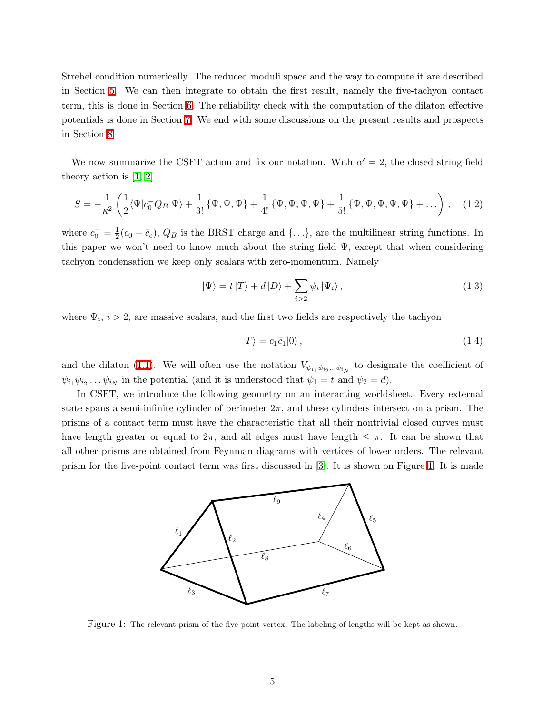Strebel condition numerically. The reduced moduli space and the way to compute it are described in Section [5.](#page-24-1) We can then integrate to obtain the first result, namely the five-tachyon contact term, this is done in Section [6.](#page-30-0) The reliability check with the computation of the dilaton effective potentials is done in Section [7.](#page-34-0) We end with some discussions on the present results and prospects in Section [8.](#page-42-0)

We now summarize the CSFT action and fix our notation. With  $\alpha' = 2$ , the closed string field theory action is [\[1,](#page-43-0) [2\]](#page-43-1)

$$
S = -\frac{1}{\kappa^2} \left( \frac{1}{2} \langle \Psi | c_0^- Q_B | \Psi \rangle + \frac{1}{3!} \{ \Psi, \Psi, \Psi \} + \frac{1}{4!} \{ \Psi, \Psi, \Psi, \Psi \} + \frac{1}{5!} \{ \Psi, \Psi, \Psi, \Psi, \Psi \} + \dots \right), \quad (1.2)
$$

where  $c_0^- = \frac{1}{2}$  $\frac{1}{2}(c_0 - \bar{c}_c)$ ,  $Q_B$  is the BRST charge and  $\{\ldots\}$ , are the multilinear string functions. In this paper we won't need to know much about the string field  $\Psi$ , except that when considering tachyon condensation we keep only scalars with zero-momentum. Namely

$$
|\Psi\rangle = t |T\rangle + d |D\rangle + \sum_{i>2} \psi_i | \Psi_i\rangle, \qquad (1.3)
$$

where  $\Psi_i$ ,  $i > 2$ , are massive scalars, and the first two fields are respectively the tachyon

$$
|T\rangle = c_1 \bar{c}_1 |0\rangle, \qquad (1.4)
$$

and the dilaton [\(1.1\)](#page-2-0). We will often use the notation  $V_{\psi_{i_1}\psi_{i_2}...\psi_{i_N}}$  to designate the coefficient of  $\psi_{i_1}\psi_{i_2}\dots\psi_{i_N}$  in the potential (and it is understood that  $\psi_1 = t$  and  $\psi_2 = d$ ).

In CSFT, we introduce the following geometry on an interacting worldsheet. Every external state spans a semi-infinite cylinder of perimeter  $2\pi$ , and these cylinders intersect on a prism. The prisms of a contact term must have the characteristic that all their nontrivial closed curves must have length greater or equal to  $2\pi$ , and all edges must have length  $\leq \pi$ . It can be shown that all other prisms are obtained from Feynman diagrams with vertices of lower orders. The relevant prism for the five-point contact term was first discussed in [\[3\]](#page-43-2). It is shown on Figure [1.](#page-4-0) It is made



<span id="page-4-0"></span>Figure 1: The relevant prism of the five-point vertex. The labeling of lengths will be kept as shown.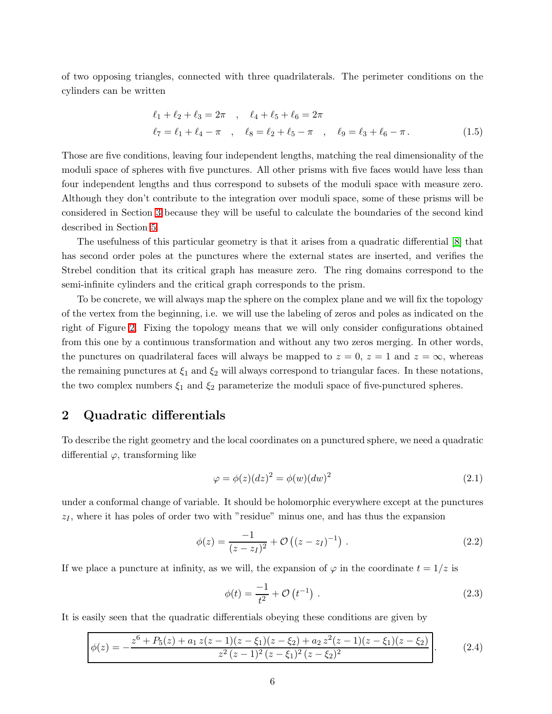<span id="page-5-2"></span>of two opposing triangles, connected with three quadrilaterals. The perimeter conditions on the cylinders can be written

$$
\ell_1 + \ell_2 + \ell_3 = 2\pi , \quad \ell_4 + \ell_5 + \ell_6 = 2\pi
$$
  

$$
\ell_7 = \ell_1 + \ell_4 - \pi , \quad \ell_8 = \ell_2 + \ell_5 - \pi , \quad \ell_9 = \ell_3 + \ell_6 - \pi.
$$
 (1.5)

Those are five conditions, leaving four independent lengths, matching the real dimensionality of the moduli space of spheres with five punctures. All other prisms with five faces would have less than four independent lengths and thus correspond to subsets of the moduli space with measure zero. Although they don't contribute to the integration over moduli space, some of these prisms will be considered in Section [3](#page-9-0) because they will be useful to calculate the boundaries of the second kind described in Section [5.](#page-24-1)

The usefulness of this particular geometry is that it arises from a quadratic differential [\[8\]](#page-43-7) that has second order poles at the punctures where the external states are inserted, and verifies the Strebel condition that its critical graph has measure zero. The ring domains correspond to the semi-infinite cylinders and the critical graph corresponds to the prism.

To be concrete, we will always map the sphere on the complex plane and we will fix the topology of the vertex from the beginning, i.e. we will use the labeling of zeros and poles as indicated on the right of Figure [2.](#page-8-0) Fixing the topology means that we will only consider configurations obtained from this one by a continuous transformation and without any two zeros merging. In other words, the punctures on quadrilateral faces will always be mapped to  $z = 0$ ,  $z = 1$  and  $z = \infty$ , whereas the remaining punctures at  $\xi_1$  and  $\xi_2$  will always correspond to triangular faces. In these notations, the two complex numbers  $\xi_1$  and  $\xi_2$  parameterize the moduli space of five-punctured spheres.

# <span id="page-5-0"></span>2 Quadratic differentials

To describe the right geometry and the local coordinates on a punctured sphere, we need a quadratic differential  $\varphi$ , transforming like

$$
\varphi = \phi(z)(dz)^2 = \phi(w)(dw)^2 \tag{2.1}
$$

under a conformal change of variable. It should be holomorphic everywhere except at the punctures  $z_I$ , where it has poles of order two with "residue" minus one, and has thus the expansion

$$
\phi(z) = \frac{-1}{(z - z_I)^2} + \mathcal{O}\left((z - z_I)^{-1}\right). \tag{2.2}
$$

If we place a puncture at infinity, as we will, the expansion of  $\varphi$  in the coordinate  $t = 1/z$  is

<span id="page-5-1"></span>
$$
\phi(t) = \frac{-1}{t^2} + \mathcal{O}(t^{-1}).
$$
\n(2.3)

It is easily seen that the quadratic differentials obeying these conditions are given by

$$
\phi(z) = -\frac{z^6 + P_5(z) + a_1 z(z-1)(z-\xi_1)(z-\xi_2) + a_2 z^2 (z-1)(z-\xi_1)(z-\xi_2)}{z^2 (z-1)^2 (z-\xi_1)^2 (z-\xi_2)^2}.
$$
\n(2.4)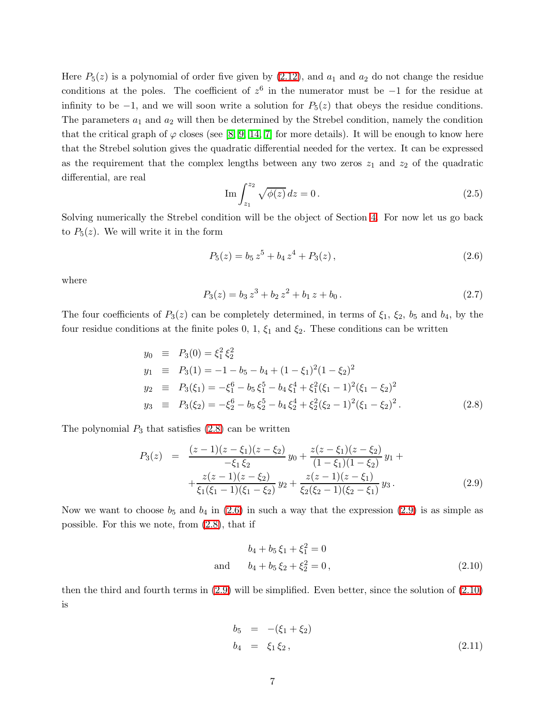Here  $P_5(z)$  is a polynomial of order five given by [\(2.12\)](#page-7-0), and  $a_1$  and  $a_2$  do not change the residue conditions at the poles. The coefficient of  $z^6$  in the numerator must be  $-1$  for the residue at infinity to be  $-1$ , and we will soon write a solution for  $P_5(z)$  that obeys the residue conditions. The parameters  $a_1$  and  $a_2$  will then be determined by the Strebel condition, namely the condition that the critical graph of  $\varphi$  closes (see [\[8,](#page-43-7) [9,](#page-43-8) [14,](#page-43-13) [7\]](#page-43-6) for more details). It will be enough to know here that the Strebel solution gives the quadratic differential needed for the vertex. It can be expressed as the requirement that the complex lengths between any two zeros  $z_1$  and  $z_2$  of the quadratic differential, are real

$$
\operatorname{Im} \int_{z_1}^{z_2} \sqrt{\phi(z)} \, dz = 0 \,. \tag{2.5}
$$

Solving numerically the Strebel condition will be the object of Section [4.](#page-17-0) For now let us go back to  $P_5(z)$ . We will write it in the form

<span id="page-6-1"></span>
$$
P_5(z) = b_5 z^5 + b_4 z^4 + P_3(z), \qquad (2.6)
$$

where

$$
P_3(z) = b_3 z^3 + b_2 z^2 + b_1 z + b_0.
$$
\n(2.7)

<span id="page-6-0"></span>The four coefficients of  $P_3(z)$  can be completely determined, in terms of  $\xi_1$ ,  $\xi_2$ ,  $b_5$  and  $b_4$ , by the four residue conditions at the finite poles 0, 1,  $\xi_1$  and  $\xi_2$ . These conditions can be written

$$
y_0 \equiv P_3(0) = \xi_1^2 \xi_2^2
$$
  
\n
$$
y_1 \equiv P_3(1) = -1 - b_5 - b_4 + (1 - \xi_1)^2 (1 - \xi_2)^2
$$
  
\n
$$
y_2 \equiv P_3(\xi_1) = -\xi_1^6 - b_5 \xi_1^5 - b_4 \xi_1^4 + \xi_1^2 (\xi_1 - 1)^2 (\xi_1 - \xi_2)^2
$$
  
\n
$$
y_3 \equiv P_3(\xi_2) = -\xi_2^6 - b_5 \xi_2^5 - b_4 \xi_2^4 + \xi_2^2 (\xi_2 - 1)^2 (\xi_1 - \xi_2)^2.
$$
\n(2.8)

<span id="page-6-2"></span>The polynomial  $P_3$  that satisfies  $(2.8)$  can be written

$$
P_3(z) = \frac{(z-1)(z-\xi_1)(z-\xi_2)}{-\xi_1 \xi_2} y_0 + \frac{z(z-\xi_1)(z-\xi_2)}{(1-\xi_1)(1-\xi_2)} y_1 + + \frac{z(z-1)(z-\xi_2)}{\xi_1(\xi_1-1)(\xi_1-\xi_2)} y_2 + \frac{z(z-1)(z-\xi_1)}{\xi_2(\xi_2-1)(\xi_2-\xi_1)} y_3.
$$
(2.9)

Now we want to choose  $b_5$  and  $b_4$  in [\(2.6\)](#page-6-1) in such a way that the expression [\(2.9\)](#page-6-2) is as simple as possible. For this we note, from [\(2.8\)](#page-6-0), that if

<span id="page-6-3"></span>
$$
b_4 + b_5 \xi_1 + \xi_1^2 = 0
$$
  
and 
$$
b_4 + b_5 \xi_2 + \xi_2^2 = 0,
$$
 (2.10)

then the third and fourth terms in [\(2.9\)](#page-6-2) will be simplified. Even better, since the solution of [\(2.10\)](#page-6-3) is

<span id="page-6-4"></span>
$$
b_5 = -(\xi_1 + \xi_2) b_4 = \xi_1 \xi_2, \tag{2.11}
$$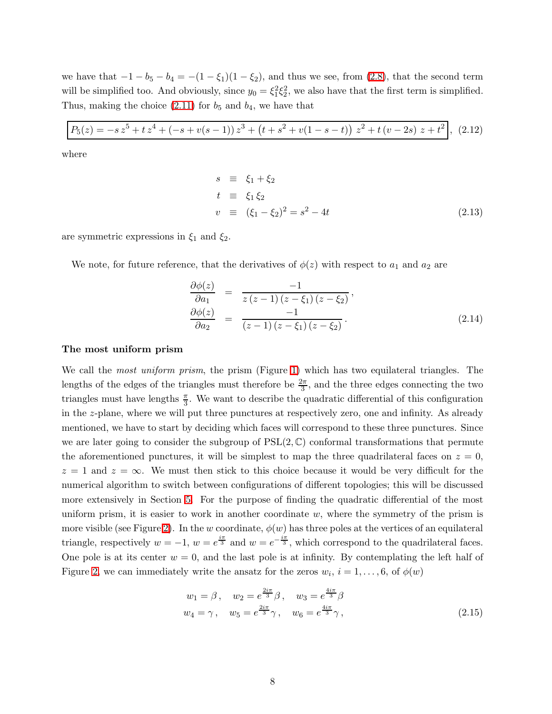we have that  $-1 - b_5 - b_4 = -(1 - \xi_1)(1 - \xi_2)$ , and thus we see, from [\(2.8\)](#page-6-0), that the second term will be simplified too. And obviously, since  $y_0 = \xi_1^2 \xi_2^2$ , we also have that the first term is simplified. Thus, making the choice  $(2.11)$  for  $b_5$  and  $b_4$ , we have that

$$
P_5(z) = -s z^5 + t z^4 + (-s + v(s - 1)) z^3 + (t + s^2 + v(1 - s - t)) z^2 + t (v - 2s) z + t^2,
$$
 (2.12)

where

<span id="page-7-0"></span>
$$
s \equiv \xi_1 + \xi_2 \n t \equiv \xi_1 \xi_2 \n v \equiv (\xi_1 - \xi_2)^2 = s^2 - 4t
$$
\n(2.13)

are symmetric expressions in  $\xi_1$  and  $\xi_2$ .

<span id="page-7-1"></span>We note, for future reference, that the derivatives of  $\phi(z)$  with respect to  $a_1$  and  $a_2$  are

$$
\frac{\partial \phi(z)}{\partial a_1} = \frac{-1}{z(z-1)(z-\xi_1)(z-\xi_2)}, \n\frac{\partial \phi(z)}{\partial a_2} = \frac{-1}{(z-1)(z-\xi_1)(z-\xi_2)}.
$$
\n(2.14)

#### The most uniform prism

We call the *most uniform prism*, the prism (Figure [1\)](#page-4-0) which has two equilateral triangles. The lengths of the edges of the triangles must therefore be  $\frac{2\pi}{3}$ , and the three edges connecting the two triangles must have lengths  $\frac{\pi}{3}$ . We want to describe the quadratic differential of this configuration in the z-plane, where we will put three punctures at respectively zero, one and infinity. As already mentioned, we have to start by deciding which faces will correspond to these three punctures. Since we are later going to consider the subgroup of  $PSL(2,\mathbb{C})$  conformal transformations that permute the aforementioned punctures, it will be simplest to map the three quadrilateral faces on  $z = 0$ ,  $z = 1$  and  $z = \infty$ . We must then stick to this choice because it would be very difficult for the numerical algorithm to switch between configurations of different topologies; this will be discussed more extensively in Section [5.](#page-24-1) For the purpose of finding the quadratic differential of the most uniform prism, it is easier to work in another coordinate  $w$ , where the symmetry of the prism is more visible (see Figure [2\)](#page-8-0). In the w coordinate,  $\phi(w)$  has three poles at the vertices of an equilateral triangle, respectively  $w = -1$ ,  $w = e^{\frac{i\pi}{3}}$  and  $w = e^{-\frac{i\pi}{3}}$ , which correspond to the quadrilateral faces. One pole is at its center  $w = 0$ , and the last pole is at infinity. By contemplating the left half of Figure [2,](#page-8-0) we can immediately write the ansatz for the zeros  $w_i$ ,  $i = 1, \ldots, 6$ , of  $\phi(w)$ 

$$
w_1 = \beta, \quad w_2 = e^{\frac{2i\pi}{3}}\beta, \quad w_3 = e^{\frac{4i\pi}{3}}\beta
$$
  
\n $w_4 = \gamma, \quad w_5 = e^{\frac{2i\pi}{3}}\gamma, \quad w_6 = e^{\frac{4i\pi}{3}}\gamma,$  (2.15)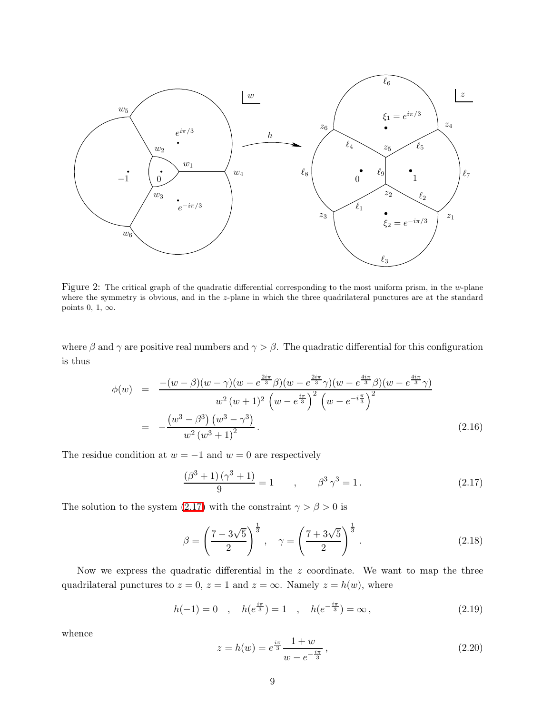

<span id="page-8-0"></span>Figure 2: The critical graph of the quadratic differential corresponding to the most uniform prism, in the w-plane where the symmetry is obvious, and in the z-plane in which the three quadrilateral punctures are at the standard points 0, 1,  $\infty$ .

where  $\beta$  and  $\gamma$  are positive real numbers and  $\gamma > \beta$ . The quadratic differential for this configuration is thus

$$
\phi(w) = \frac{-(w-\beta)(w-\gamma)(w-e^{\frac{2i\pi}{3}}\beta)(w-e^{\frac{2i\pi}{3}}\gamma)(w-e^{\frac{4i\pi}{3}}\beta)(w-e^{\frac{4i\pi}{3}}\gamma)}{w^2(w+1)^2(w-e^{\frac{i\pi}{3}})^2(w-e^{-i\frac{\pi}{3}})^2}
$$

$$
= -\frac{(w^3-\beta^3)(w^3-\gamma^3)}{w^2(w^3+1)^2}.
$$
\n(2.16)

The residue condition at  $w = -1$  and  $w = 0$  are respectively

<span id="page-8-1"></span>
$$
\frac{(\beta^3 + 1)(\gamma^3 + 1)}{9} = 1 \qquad , \qquad \beta^3 \gamma^3 = 1. \tag{2.17}
$$

The solution to the system [\(2.17\)](#page-8-1) with the constraint  $\gamma > \beta > 0$  is

$$
\beta = \left(\frac{7 - 3\sqrt{5}}{2}\right)^{\frac{1}{3}}, \quad \gamma = \left(\frac{7 + 3\sqrt{5}}{2}\right)^{\frac{1}{3}}.
$$
 (2.18)

Now we express the quadratic differential in the z coordinate. We want to map the three quadrilateral punctures to  $z = 0$ ,  $z = 1$  and  $z = \infty$ . Namely  $z = h(w)$ , where

$$
h(-1) = 0 \quad , \quad h(e^{\frac{i\pi}{3}}) = 1 \quad , \quad h(e^{-\frac{i\pi}{3}}) = \infty \,, \tag{2.19}
$$

whence

$$
z = h(w) = e^{\frac{i\pi}{3}} \frac{1+w}{w - e^{-\frac{i\pi}{3}}},
$$
\n(2.20)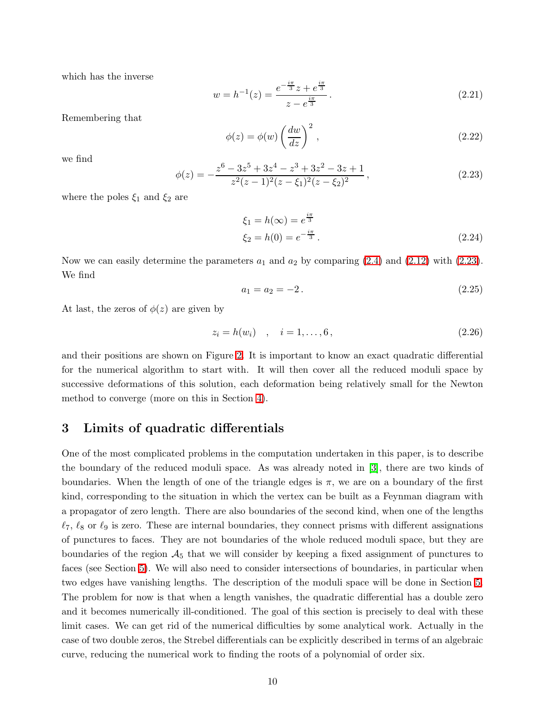which has the inverse

$$
w = h^{-1}(z) = \frac{e^{-\frac{i\pi}{3}}z + e^{\frac{i\pi}{3}}}{z - e^{\frac{i\pi}{3}}}.
$$
\n(2.21)

Remembering that

$$
\phi(z) = \phi(w) \left(\frac{dw}{dz}\right)^2, \qquad (2.22)
$$

<span id="page-9-1"></span>we find

$$
\phi(z) = -\frac{z^6 - 3z^5 + 3z^4 - z^3 + 3z^2 - 3z + 1}{z^2(z - 1)^2(z - \xi_1)^2(z - \xi_2)^2},\tag{2.23}
$$

where the poles  $\xi_1$  and  $\xi_2$  are

$$
\xi_1 = h(\infty) = e^{\frac{i\pi}{3}} \n\xi_2 = h(0) = e^{-\frac{i\pi}{3}}.
$$
\n(2.24)

Now we can easily determine the parameters  $a_1$  and  $a_2$  by comparing [\(2.4\)](#page-5-1) and [\(2.12\)](#page-7-0) with [\(2.23\)](#page-9-1). We find

$$
a_1 = a_2 = -2. \t\t(2.25)
$$

At last, the zeros of  $\phi(z)$  are given by

$$
z_i = h(w_i) \quad , \quad i = 1, \dots, 6 \,, \tag{2.26}
$$

and their positions are shown on Figure [2.](#page-8-0) It is important to know an exact quadratic differential for the numerical algorithm to start with. It will then cover all the reduced moduli space by successive deformations of this solution, each deformation being relatively small for the Newton method to converge (more on this in Section [4\)](#page-17-0).

## <span id="page-9-0"></span>3 Limits of quadratic differentials

One of the most complicated problems in the computation undertaken in this paper, is to describe the boundary of the reduced moduli space. As was already noted in [\[3\]](#page-43-2), there are two kinds of boundaries. When the length of one of the triangle edges is  $\pi$ , we are on a boundary of the first kind, corresponding to the situation in which the vertex can be built as a Feynman diagram with a propagator of zero length. There are also boundaries of the second kind, when one of the lengths  $\ell_7$ ,  $\ell_8$  or  $\ell_9$  is zero. These are internal boundaries, they connect prisms with different assignations of punctures to faces. They are not boundaries of the whole reduced moduli space, but they are boundaries of the region  $A_5$  that we will consider by keeping a fixed assignment of punctures to faces (see Section [5\)](#page-24-1). We will also need to consider intersections of boundaries, in particular when two edges have vanishing lengths. The description of the moduli space will be done in Section [5.](#page-24-1) The problem for now is that when a length vanishes, the quadratic differential has a double zero and it becomes numerically ill-conditioned. The goal of this section is precisely to deal with these limit cases. We can get rid of the numerical difficulties by some analytical work. Actually in the case of two double zeros, the Strebel differentials can be explicitly described in terms of an algebraic curve, reducing the numerical work to finding the roots of a polynomial of order six.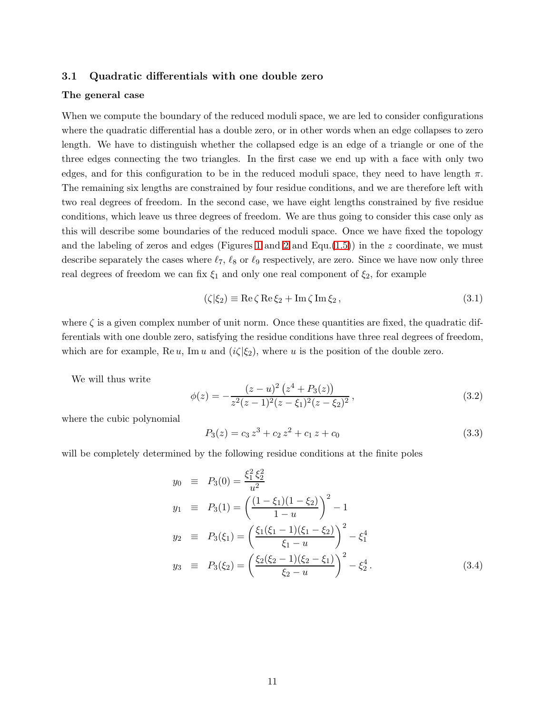### <span id="page-10-0"></span>3.1 Quadratic differentials with one double zero

#### The general case

When we compute the boundary of the reduced moduli space, we are led to consider configurations where the quadratic differential has a double zero, or in other words when an edge collapses to zero length. We have to distinguish whether the collapsed edge is an edge of a triangle or one of the three edges connecting the two triangles. In the first case we end up with a face with only two edges, and for this configuration to be in the reduced moduli space, they need to have length  $\pi$ . The remaining six lengths are constrained by four residue conditions, and we are therefore left with two real degrees of freedom. In the second case, we have eight lengths constrained by five residue conditions, which leave us three degrees of freedom. We are thus going to consider this case only as this will describe some boundaries of the reduced moduli space. Once we have fixed the topology and the labeling of zeros and edges (Figures [1](#page-4-0) and [2](#page-8-0) and Equ.[\(1.5\)](#page-5-2)) in the z coordinate, we must describe separately the cases where  $\ell_7$ ,  $\ell_8$  or  $\ell_9$  respectively, are zero. Since we have now only three real degrees of freedom we can fix  $\xi_1$  and only one real component of  $\xi_2$ , for example

$$
(\zeta|\xi_2) \equiv \text{Re}\,\zeta\,\text{Re}\,\xi_2 + \text{Im}\,\zeta\,\text{Im}\,\xi_2\,,\tag{3.1}
$$

where  $\zeta$  is a given complex number of unit norm. Once these quantities are fixed, the quadratic differentials with one double zero, satisfying the residue conditions have three real degrees of freedom, which are for example,  $\text{Re } u$ ,  $\text{Im } u$  and  $(i\zeta|\xi_2)$ , where u is the position of the double zero.

We will thus write

$$
\phi(z) = -\frac{(z-u)^2 (z^4 + P_3(z))}{z^2 (z-1)^2 (z-\xi_1)^2 (z-\xi_2)^2},\tag{3.2}
$$

where the cubic polynomial

$$
P_3(z) = c_3 z^3 + c_2 z^2 + c_1 z + c_0 \tag{3.3}
$$

<span id="page-10-1"></span>will be completely determined by the following residue conditions at the finite poles

$$
y_0 \equiv P_3(0) = \frac{\xi_1^2 \xi_2^2}{u^2}
$$
  
\n
$$
y_1 \equiv P_3(1) = \left(\frac{(1-\xi_1)(1-\xi_2)}{1-u}\right)^2 - 1
$$
  
\n
$$
y_2 \equiv P_3(\xi_1) = \left(\frac{\xi_1(\xi_1-1)(\xi_1-\xi_2)}{\xi_1-u}\right)^2 - \xi_1^4
$$
  
\n
$$
y_3 \equiv P_3(\xi_2) = \left(\frac{\xi_2(\xi_2-1)(\xi_2-\xi_1)}{\xi_2-u}\right)^2 - \xi_2^4.
$$
\n(3.4)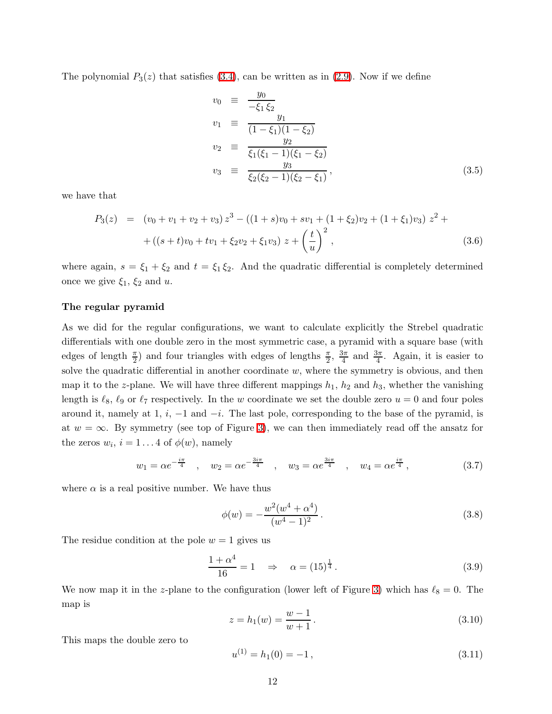The polynomial  $P_3(z)$  that satisfies [\(3.4\)](#page-10-1), can be written as in [\(2.9\)](#page-6-2). Now if we define

$$
v_0 \equiv \frac{y_0}{-\xi_1 \xi_2}
$$
  
\n
$$
v_1 \equiv \frac{y_1}{(1-\xi_1)(1-\xi_2)}
$$
  
\n
$$
v_2 \equiv \frac{y_2}{\xi_1(\xi_1 - 1)(\xi_1 - \xi_2)}
$$
  
\n
$$
v_3 \equiv \frac{y_3}{\xi_2(\xi_2 - 1)(\xi_2 - \xi_1)},
$$
\n(3.5)

we have that

$$
P_3(z) = (v_0 + v_1 + v_2 + v_3) z^3 - ((1 + s)v_0 + sv_1 + (1 + \xi_2)v_2 + (1 + \xi_1)v_3) z^2 +
$$
  
 
$$
+ ((s + t)v_0 + tv_1 + \xi_2v_2 + \xi_1v_3) z + \left(\frac{t}{u}\right)^2,
$$
 (3.6)

where again,  $s = \xi_1 + \xi_2$  and  $t = \xi_1 \xi_2$ . And the quadratic differential is completely determined once we give  $\xi_1$ ,  $\xi_2$  and u.

#### The regular pyramid

As we did for the regular configurations, we want to calculate explicitly the Strebel quadratic differentials with one double zero in the most symmetric case, a pyramid with a square base (with edges of lengths  $\frac{\pi}{2}$ ) and four triangles with edges of lengths  $\frac{\pi}{2}$ ,  $\frac{3\pi}{4}$  $\frac{3\pi}{4}$  and  $\frac{3\pi}{4}$ . Again, it is easier to solve the quadratic differential in another coordinate  $w$ , where the symmetry is obvious, and then map it to the z-plane. We will have three different mappings  $h_1$ ,  $h_2$  and  $h_3$ , whether the vanishing length is  $\ell_8$ ,  $\ell_9$  or  $\ell_7$  respectively. In the w coordinate we set the double zero  $u = 0$  and four poles around it, namely at 1,  $i, -1$  and  $-i$ . The last pole, corresponding to the base of the pyramid, is at  $w = \infty$ . By symmetry (see top of Figure [3\)](#page-12-0), we can then immediately read off the ansatz for the zeros  $w_i$ ,  $i = 1...4$  of  $\phi(w)$ , namely

$$
w_1 = \alpha e^{-\frac{i\pi}{4}}
$$
,  $w_2 = \alpha e^{-\frac{3i\pi}{4}}$ ,  $w_3 = \alpha e^{\frac{3i\pi}{4}}$ ,  $w_4 = \alpha e^{\frac{i\pi}{4}}$ , (3.7)

where  $\alpha$  is a real positive number. We have thus

$$
\phi(w) = -\frac{w^2(w^4 + \alpha^4)}{(w^4 - 1)^2}.
$$
\n(3.8)

The residue condition at the pole  $w = 1$  gives us

$$
\frac{1+\alpha^4}{16} = 1 \quad \Rightarrow \quad \alpha = (15)^{\frac{1}{4}}.
$$
 (3.9)

We now map it in the z-plane to the configuration (lower left of Figure [3\)](#page-12-0) which has  $\ell_8 = 0$ . The map is

$$
z = h_1(w) = \frac{w - 1}{w + 1}.
$$
\n(3.10)

This maps the double zero to

$$
u^{(1)} = h_1(0) = -1, \t\t(3.11)
$$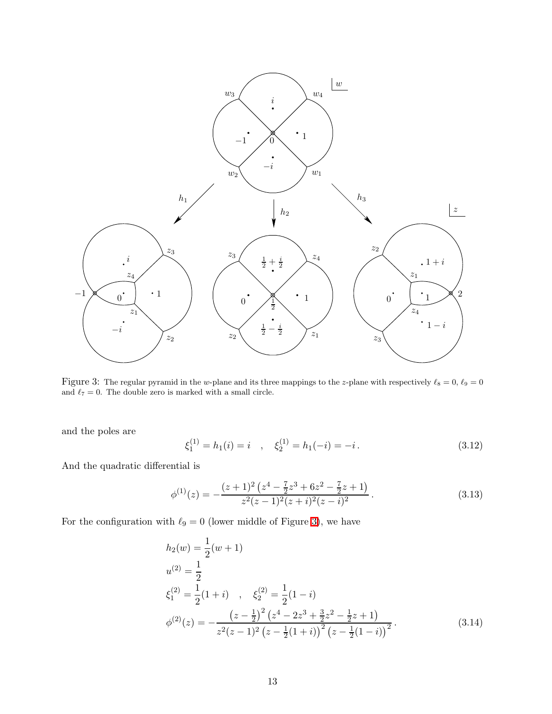

<span id="page-12-0"></span>Figure 3: The regular pyramid in the w-plane and its three mappings to the z-plane with respectively  $\ell_8 = 0$ ,  $\ell_9 = 0$ and  $\ell_7=0.$  The double zero is marked with a small circle.

and the poles are

$$
\xi_1^{(1)} = h_1(i) = i \quad , \quad \xi_2^{(1)} = h_1(-i) = -i \,. \tag{3.12}
$$

And the quadratic differential is

$$
\phi^{(1)}(z) = -\frac{(z+1)^2 (z^4 - \frac{7}{2}z^3 + 6z^2 - \frac{7}{2}z + 1)}{z^2 (z-1)^2 (z+i)^2 (z-i)^2}.
$$
\n(3.13)

For the configuration with  $\ell_9 = 0$  (lower middle of Figure [3\)](#page-12-0), we have

$$
h_2(w) = \frac{1}{2}(w+1)
$$
  
\n
$$
u^{(2)} = \frac{1}{2}
$$
  
\n
$$
\xi_1^{(2)} = \frac{1}{2}(1+i) , \quad \xi_2^{(2)} = \frac{1}{2}(1-i)
$$
  
\n
$$
\phi^{(2)}(z) = -\frac{(z-\frac{1}{2})^2 (z^4 - 2z^3 + \frac{3}{2}z^2 - \frac{1}{2}z + 1)}{z^2(z-1)^2 (z-\frac{1}{2}(1+i))^2 (z-\frac{1}{2}(1-i))^2}.
$$
\n(3.14)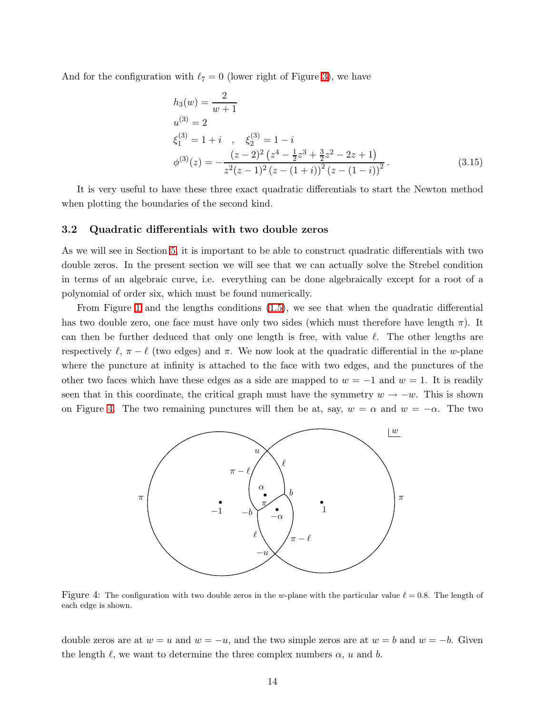And for the configuration with  $\ell_7 = 0$  (lower right of Figure [3\)](#page-12-0), we have

$$
h_3(w) = \frac{2}{w+1}
$$
  
\n
$$
u^{(3)} = 2
$$
  
\n
$$
\xi_1^{(3)} = 1 + i \quad , \quad \xi_2^{(3)} = 1 - i
$$
  
\n
$$
\phi^{(3)}(z) = -\frac{(z-2)^2 (z^4 - \frac{1}{2}z^3 + \frac{3}{2}z^2 - 2z + 1)}{z^2 (z-1)^2 (z - (1+i))^2 (z - (1-i))^2}.
$$
\n(3.15)

It is very useful to have these three exact quadratic differentials to start the Newton method when plotting the boundaries of the second kind.

#### <span id="page-13-0"></span>3.2 Quadratic differentials with two double zeros

As we will see in Section [5,](#page-24-1) it is important to be able to construct quadratic differentials with two double zeros. In the present section we will see that we can actually solve the Strebel condition in terms of an algebraic curve, i.e. everything can be done algebraically except for a root of a polynomial of order six, which must be found numerically.

From Figure [1](#page-4-0) and the lengths conditions [\(1.5\)](#page-5-2), we see that when the quadratic differential has two double zero, one face must have only two sides (which must therefore have length  $\pi$ ). It can then be further deduced that only one length is free, with value  $\ell$ . The other lengths are respectively  $\ell$ ,  $\pi - \ell$  (two edges) and  $\pi$ . We now look at the quadratic differential in the w-plane where the puncture at infinity is attached to the face with two edges, and the punctures of the other two faces which have these edges as a side are mapped to  $w = -1$  and  $w = 1$ . It is readily seen that in this coordinate, the critical graph must have the symmetry  $w \to -w$ . This is shown on Figure [4.](#page-13-1) The two remaining punctures will then be at, say,  $w = \alpha$  and  $w = -\alpha$ . The two



<span id="page-13-1"></span>Figure 4: The configuration with two double zeros in the w-plane with the particular value  $\ell = 0.8$ . The length of each edge is shown.

double zeros are at  $w = u$  and  $w = -u$ , and the two simple zeros are at  $w = b$  and  $w = -b$ . Given the length  $\ell$ , we want to determine the three complex numbers  $\alpha$ , u and b.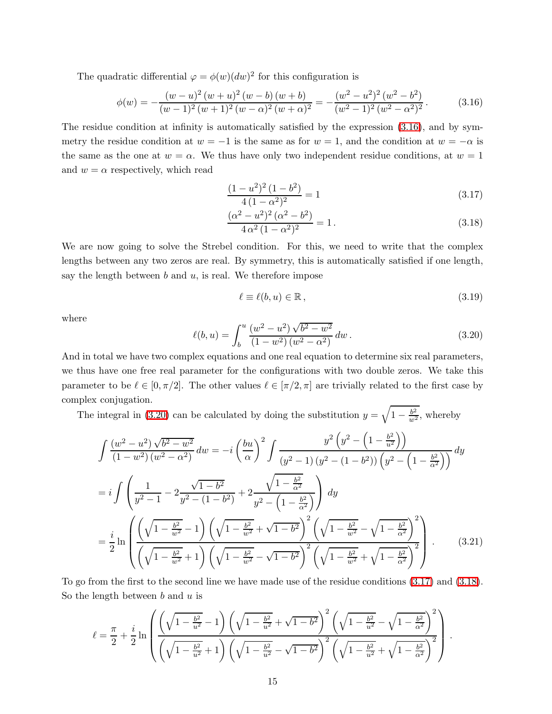The quadratic differential  $\varphi = \phi(w)(dw)^2$  for this configuration is

$$
\phi(w) = -\frac{(w-u)^2 (w+u)^2 (w-b) (w+b)}{(w-1)^2 (w+1)^2 (w-\alpha)^2 (w+\alpha)^2} = -\frac{(w^2-u^2)^2 (w^2-b^2)}{(w^2-1)^2 (w^2-\alpha^2)^2}.
$$
\n(3.16)

The residue condition at infinity is automatically satisfied by the expression [\(3.16\)](#page-14-0), and by symmetry the residue condition at  $w = -1$  is the same as for  $w = 1$ , and the condition at  $w = -\alpha$  is the same as the one at  $w = \alpha$ . We thus have only two independent residue conditions, at  $w = 1$ and  $w = \alpha$  respectively, which read

<span id="page-14-2"></span><span id="page-14-0"></span>
$$
\frac{(1-u^2)^2 (1-b^2)}{4 (1-\alpha^2)^2} = 1
$$
\n(3.17)

$$
\frac{(\alpha^2 - u^2)^2 (\alpha^2 - b^2)}{4 \alpha^2 (1 - \alpha^2)^2} = 1.
$$
\n(3.18)

We are now going to solve the Strebel condition. For this, we need to write that the complex lengths between any two zeros are real. By symmetry, this is automatically satisfied if one length, say the length between  $b$  and  $u$ , is real. We therefore impose

$$
\ell \equiv \ell(b, u) \in \mathbb{R},\tag{3.19}
$$

<span id="page-14-1"></span>where

$$
\ell(b, u) = \int_b^u \frac{(w^2 - u^2)\sqrt{b^2 - w^2}}{(1 - w^2)(w^2 - \alpha^2)} dw.
$$
\n(3.20)

And in total we have two complex equations and one real equation to determine six real parameters, we thus have one free real parameter for the configurations with two double zeros. We take this parameter to be  $\ell \in [0, \pi/2]$ . The other values  $\ell \in [\pi/2, \pi]$  are trivially related to the first case by complex conjugation.

The integral in [\(3.20\)](#page-14-1) can be calculated by doing the substitution  $y = \sqrt{1 - \frac{b^2}{w^2}}$ , whereby

$$
\int \frac{(w^2 - u^2)\sqrt{b^2 - w^2}}{(1 - w^2)(w^2 - \alpha^2)} dw = -i \left(\frac{bu}{\alpha}\right)^2 \int \frac{y^2 \left(y^2 - \left(1 - \frac{b^2}{u^2}\right)\right)}{(y^2 - \left(1 - b^2)\right)\left(y^2 - \left(1 - \frac{b^2}{\alpha^2}\right)\right)} dy
$$
  
\n
$$
= i \int \left(\frac{1}{y^2 - 1} - 2\frac{\sqrt{1 - b^2}}{y^2 - \left(1 - b^2\right)} + 2\frac{\sqrt{1 - \frac{b^2}{\alpha^2}}}{y^2 - \left(1 - \frac{b^2}{\alpha^2}\right)}\right) dy
$$
  
\n
$$
= \frac{i}{2} \ln \left( \frac{\left(\sqrt{1 - \frac{b^2}{w^2}} - 1\right)\left(\sqrt{1 - \frac{b^2}{w^2}} + \sqrt{1 - b^2}\right)^2 \left(\sqrt{1 - \frac{b^2}{w^2}} - \sqrt{1 - \frac{b^2}{\alpha^2}}\right)^2}{\left(\sqrt{1 - \frac{b^2}{w^2}} + \sqrt{1 - b^2}\right)^2 \left(\sqrt{1 - \frac{b^2}{w^2}} + \sqrt{1 - \frac{b^2}{\alpha^2}}\right)^2} \right).
$$
 (3.21)

To go from the first to the second line we have made use of the residue conditions [\(3.17\)](#page-14-2) and [\(3.18\)](#page-14-2). So the length between  $b$  and  $u$  is

$$
\ell = \frac{\pi}{2} + \frac{i}{2} \ln \left( \frac{\left(\sqrt{1 - \frac{b^2}{u^2}} - 1\right) \left(\sqrt{1 - \frac{b^2}{u^2}} + \sqrt{1 - b^2}\right)^2 \left(\sqrt{1 - \frac{b^2}{u^2}} - \sqrt{1 - \frac{b^2}{\alpha^2}}\right)^2}{\left(\sqrt{1 - \frac{b^2}{u^2}} + 1\right) \left(\sqrt{1 - \frac{b^2}{u^2}} - \sqrt{1 - b^2}\right)^2 \left(\sqrt{1 - \frac{b^2}{u^2}} + \sqrt{1 - \frac{b^2}{\alpha^2}}\right)^2} \right).
$$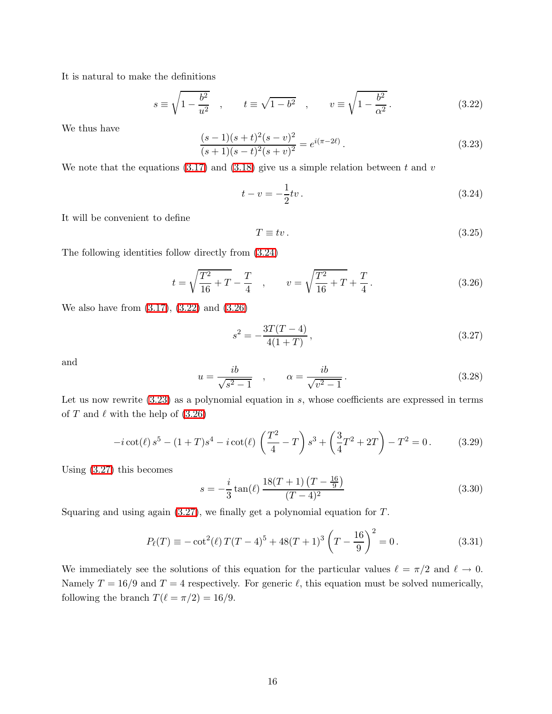It is natural to make the definitions

<span id="page-15-1"></span>
$$
s \equiv \sqrt{1 - \frac{b^2}{u^2}} \quad , \qquad t \equiv \sqrt{1 - b^2} \quad , \qquad v \equiv \sqrt{1 - \frac{b^2}{\alpha^2}} \,. \tag{3.22}
$$

<span id="page-15-3"></span>We thus have

$$
\frac{(s-1)(s+t)^2(s-v)^2}{(s+1)(s-t)^2(s+v)^2} = e^{i(\pi-2\ell)}.
$$
\n(3.23)

We note that the equations  $(3.17)$  and  $(3.18)$  give us a simple relation between t and v

<span id="page-15-0"></span>
$$
t - v = -\frac{1}{2}tv.
$$
\n(3.24)

It will be convenient to define

<span id="page-15-2"></span>
$$
T \equiv tv. \tag{3.25}
$$

The following identities follow directly from [\(3.24\)](#page-15-0)

<span id="page-15-4"></span>
$$
t = \sqrt{\frac{T^2}{16} + T} - \frac{T}{4} \quad , \qquad v = \sqrt{\frac{T^2}{16} + T} + \frac{T}{4} \,. \tag{3.26}
$$

We also have from [\(3.17\)](#page-14-2), [\(3.22\)](#page-15-1) and [\(3.26\)](#page-15-2)

$$
s^2 = -\frac{3T(T-4)}{4(1+T)},
$$
\n(3.27)

<span id="page-15-6"></span>and

$$
u = \frac{ib}{\sqrt{s^2 - 1}} \quad , \qquad \alpha = \frac{ib}{\sqrt{v^2 - 1}} \,. \tag{3.28}
$$

Let us now rewrite  $(3.23)$  as a polynomial equation in s, whose coefficients are expressed in terms of T and  $\ell$  with the help of  $(3.26)$ 

$$
-i\cot(\ell)s^5 - (1+T)s^4 - i\cot(\ell)\left(\frac{T^2}{4} - T\right)s^3 + \left(\frac{3}{4}T^2 + 2T\right) - T^2 = 0.
$$
 (3.29)

Using [\(3.27\)](#page-15-4) this becomes

<span id="page-15-5"></span>
$$
s = -\frac{i}{3}\tan(\ell)\frac{18(T+1)\left(T - \frac{16}{9}\right)}{(T-4)^2}
$$
\n(3.30)

Squaring and using again  $(3.27)$ , we finally get a polynomial equation for  $T$ .

$$
P_{\ell}(T) \equiv -\cot^2(\ell) T(T-4)^5 + 48(T+1)^3 \left(T - \frac{16}{9}\right)^2 = 0.
$$
 (3.31)

We immediately see the solutions of this equation for the particular values  $\ell = \pi/2$  and  $\ell \to 0$ . Namely  $T = 16/9$  and  $T = 4$  respectively. For generic  $\ell$ , this equation must be solved numerically, following the branch  $T(\ell = \pi/2) = 16/9$ .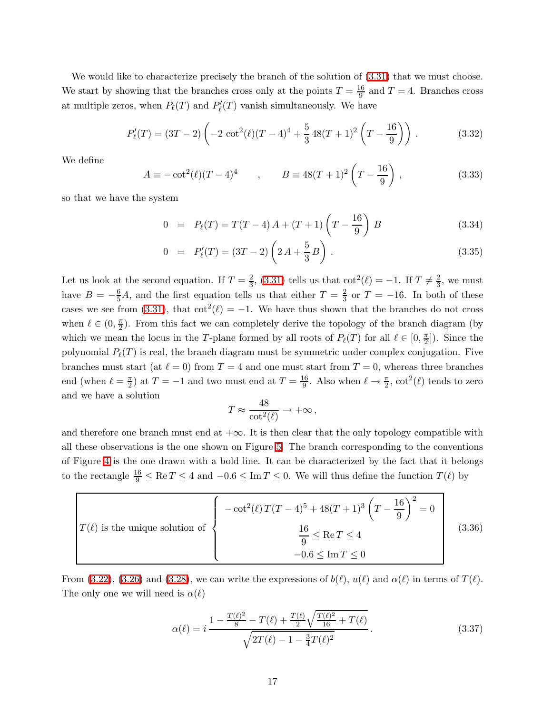We would like to characterize precisely the branch of the solution of  $(3.31)$  that we must choose. We start by showing that the branches cross only at the points  $T = \frac{16}{9}$  and  $T = 4$ . Branches cross at multiple zeros, when  $P_{\ell}(T)$  and  $P'_{\ell}(T)$  vanish simultaneously. We have

$$
P'_{\ell}(T) = (3T - 2) \left( -2 \cot^2(\ell) (T - 4)^4 + \frac{5}{3} 48(T + 1)^2 \left( T - \frac{16}{9} \right) \right). \tag{3.32}
$$

We define

$$
A \equiv -\cot^2(\ell)(T-4)^4 \qquad , \qquad B \equiv 48(T+1)^2 \left(T - \frac{16}{9}\right) , \tag{3.33}
$$

so that we have the system

$$
0 = P_{\ell}(T) = T(T - 4) A + (T + 1) \left( T - \frac{16}{9} \right) B \tag{3.34}
$$

$$
0 = P'_{\ell}(T) = (3T - 2) \left( 2A + \frac{5}{3} B \right).
$$
 (3.35)

Let us look at the second equation. If  $T=\frac{2}{3}$  $\frac{2}{3}$ , [\(3.31\)](#page-15-5) tells us that  $\cot^2(\ell) = -1$ . If  $T \neq \frac{2}{3}$  $\frac{2}{3}$ , we must have  $B = -\frac{6}{5}A$ , and the first equation tells us that either  $T = \frac{2}{3}$  $\frac{2}{3}$  or  $T = -16$ . In both of these cases we see from [\(3.31\)](#page-15-5), that  $\cot^2(\ell) = -1$ . We have thus shown that the branches do not cross when  $\ell \in (0, \frac{\pi}{2})$  $\frac{\pi}{2}$ ). From this fact we can completely derive the topology of the branch diagram (by which we mean the locus in the T-plane formed by all roots of  $P_{\ell}(T)$  for all  $\ell \in [0, \frac{\pi}{2}]$  $\frac{\pi}{2}]$ ). Since the polynomial  $P_{\ell}(T)$  is real, the branch diagram must be symmetric under complex conjugation. Five branches must start (at  $\ell = 0$ ) from  $T = 4$  and one must start from  $T = 0$ , whereas three branches end (when  $\ell = \frac{\pi}{2}$  $(\frac{\pi}{2})$  at  $T = -1$  and two must end at  $T = \frac{16}{9}$  $\frac{16}{9}$ . Also when  $\ell \to \frac{\pi}{2}$ ,  $\cot^2(\ell)$  tends to zero and we have a solution

<span id="page-16-0"></span>
$$
T \approx \frac{48}{\cot^2(\ell)} \to +\infty \,,
$$

and therefore one branch must end at  $+\infty$ . It is then clear that the only topology compatible with all these observations is the one shown on Figure [5.](#page-17-1) The branch corresponding to the conventions of Figure [4](#page-13-1) is the one drawn with a bold line. It can be characterized by the fact that it belongs to the rectangle  $\frac{16}{9} \leq \text{Re } T \leq 4$  and  $-0.6 \leq \text{Im } T \leq 0$ . We will thus define the function  $T(\ell)$  by

$$
T(\ell) \text{ is the unique solution of} \begin{cases} -\cot^2(\ell) T(T-4)^5 + 48(T+1)^3 \left(T - \frac{16}{9}\right)^2 = 0\\ \frac{16}{9} \le \text{Re}\,T \le 4\\ -0.6 \le \text{Im}\,T \le 0 \end{cases} \tag{3.36}
$$

From [\(3.22\)](#page-15-1), [\(3.26\)](#page-15-2) and [\(3.28\)](#page-15-6), we can write the expressions of  $b(\ell)$ ,  $u(\ell)$  and  $\alpha(\ell)$  in terms of  $T(\ell)$ . The only one we will need is  $\alpha(\ell)$ 

<span id="page-16-1"></span>
$$
\alpha(\ell) = i \frac{1 - \frac{T(\ell)^2}{8} - T(\ell) + \frac{T(\ell)}{2} \sqrt{\frac{T(\ell)^2}{16} + T(\ell)}}{\sqrt{2T(\ell) - 1 - \frac{3}{4}T(\ell)^2}}.
$$
\n(3.37)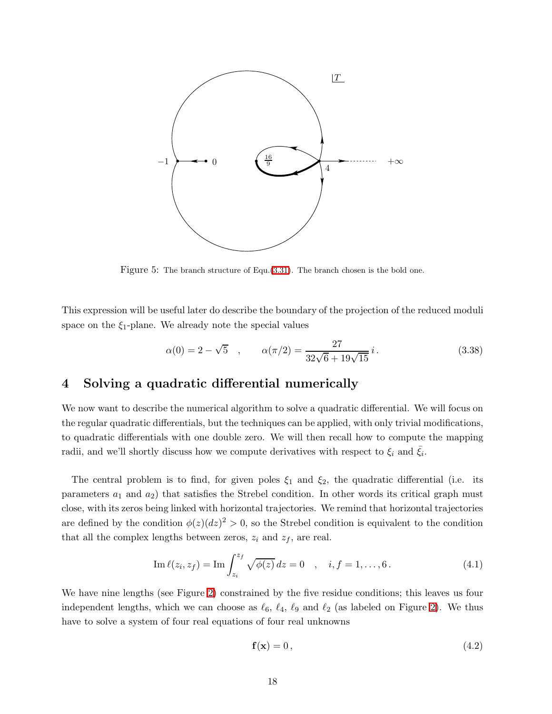

<span id="page-17-1"></span>Figure 5: The branch structure of Equ.[\(3.31\)](#page-15-5). The branch chosen is the bold one.

This expression will be useful later do describe the boundary of the projection of the reduced moduli space on the  $\xi_1$ -plane. We already note the special values

<span id="page-17-2"></span>
$$
\alpha(0) = 2 - \sqrt{5} \quad , \qquad \alpha(\pi/2) = \frac{27}{32\sqrt{6} + 19\sqrt{15}} i \,. \tag{3.38}
$$

# <span id="page-17-0"></span>4 Solving a quadratic differential numerically

We now want to describe the numerical algorithm to solve a quadratic differential. We will focus on the regular quadratic differentials, but the techniques can be applied, with only trivial modifications, to quadratic differentials with one double zero. We will then recall how to compute the mapping radii, and we'll shortly discuss how we compute derivatives with respect to  $\xi_i$  and  $\bar{\xi}_i$ .

The central problem is to find, for given poles  $\xi_1$  and  $\xi_2$ , the quadratic differential (i.e. its parameters  $a_1$  and  $a_2$ ) that satisfies the Strebel condition. In other words its critical graph must close, with its zeros being linked with horizontal trajectories. We remind that horizontal trajectories are defined by the condition  $\phi(z)(dz)^2 > 0$ , so the Strebel condition is equivalent to the condition that all the complex lengths between zeros,  $z_i$  and  $z_f$ , are real.

Im 
$$
\ell(z_i, z_f) = \text{Im} \int_{z_i}^{z_f} \sqrt{\phi(z)} dz = 0
$$
,  $i, f = 1, ..., 6$ . (4.1)

We have nine lengths (see Figure [2\)](#page-8-0) constrained by the five residue conditions; this leaves us four independent lengths, which we can choose as  $\ell_6$ ,  $\ell_4$ ,  $\ell_9$  and  $\ell_2$  (as labeled on Figure [2\)](#page-8-0). We thus have to solve a system of four real equations of four real unknowns

$$
\mathbf{f}(\mathbf{x}) = 0,\tag{4.2}
$$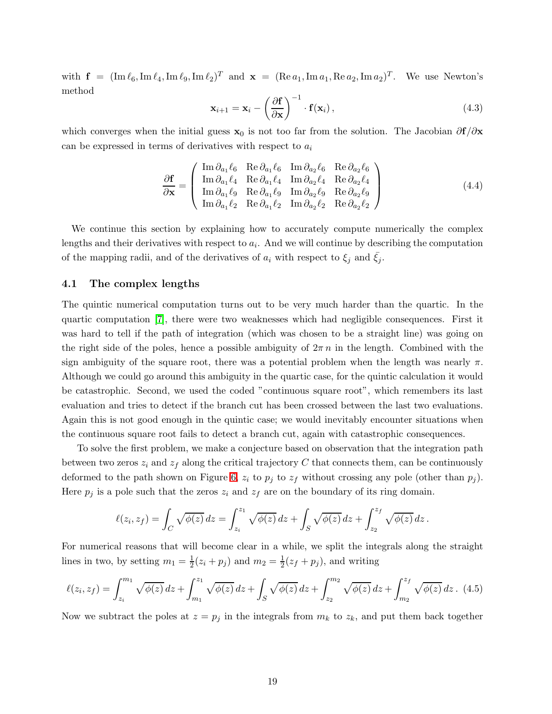with  $\mathbf{f} = (\text{Im } \ell_6, \text{Im } \ell_4, \text{Im } \ell_9, \text{Im } \ell_2)^T$  and  $\mathbf{x} = (\text{Re } a_1, \text{Im } a_1, \text{Re } a_2, \text{Im } a_2)^T$ . We use Newton's method

$$
\mathbf{x}_{i+1} = \mathbf{x}_i - \left(\frac{\partial \mathbf{f}}{\partial \mathbf{x}}\right)^{-1} \cdot \mathbf{f}(\mathbf{x}_i),
$$
\n(4.3)

which converges when the initial guess  $x_0$  is not too far from the solution. The Jacobian  $\partial f/\partial x$ can be expressed in terms of derivatives with respect to  $a_i$ 

$$
\frac{\partial \mathbf{f}}{\partial \mathbf{x}} = \begin{pmatrix} \text{Im} \, \partial_{a_1} \ell_6 & \text{Re} \, \partial_{a_1} \ell_6 & \text{Im} \, \partial_{a_2} \ell_6 & \text{Re} \, \partial_{a_2} \ell_6 \\ \text{Im} \, \partial_{a_1} \ell_4 & \text{Re} \, \partial_{a_1} \ell_4 & \text{Im} \, \partial_{a_2} \ell_4 & \text{Re} \, \partial_{a_2} \ell_4 \\ \text{Im} \, \partial_{a_1} \ell_9 & \text{Re} \, \partial_{a_1} \ell_9 & \text{Im} \, \partial_{a_2} \ell_9 & \text{Re} \, \partial_{a_2} \ell_9 \\ \text{Im} \, \partial_{a_1} \ell_2 & \text{Re} \, \partial_{a_1} \ell_2 & \text{Im} \, \partial_{a_2} \ell_2 & \text{Re} \, \partial_{a_2} \ell_2 \end{pmatrix} \tag{4.4}
$$

We continue this section by explaining how to accurately compute numerically the complex lengths and their derivatives with respect to  $a_i$ . And we will continue by describing the computation of the mapping radii, and of the derivatives of  $a_i$  with respect to  $\xi_i$  and  $\xi_i$ .

### <span id="page-18-0"></span>4.1 The complex lengths

The quintic numerical computation turns out to be very much harder than the quartic. In the quartic computation [\[7\]](#page-43-6), there were two weaknesses which had negligible consequences. First it was hard to tell if the path of integration (which was chosen to be a straight line) was going on the right side of the poles, hence a possible ambiguity of  $2\pi n$  in the length. Combined with the sign ambiguity of the square root, there was a potential problem when the length was nearly  $\pi$ . Although we could go around this ambiguity in the quartic case, for the quintic calculation it would be catastrophic. Second, we used the coded "continuous square root", which remembers its last evaluation and tries to detect if the branch cut has been crossed between the last two evaluations. Again this is not good enough in the quintic case; we would inevitably encounter situations when the continuous square root fails to detect a branch cut, again with catastrophic consequences.

To solve the first problem, we make a conjecture based on observation that the integration path between two zeros  $z_i$  and  $z_f$  along the critical trajectory C that connects them, can be continuously deformed to the path shown on Figure [6,](#page-19-0)  $z_i$  to  $p_j$  to  $z_f$  without crossing any pole (other than  $p_j$ ). Here  $p_j$  is a pole such that the zeros  $z_i$  and  $z_f$  are on the boundary of its ring domain.

<span id="page-18-1"></span>
$$
\ell(z_i, z_f) = \int_C \sqrt{\phi(z)} dz = \int_{z_i}^{z_1} \sqrt{\phi(z)} dz + \int_S \sqrt{\phi(z)} dz + \int_{z_2}^{z_f} \sqrt{\phi(z)} dz.
$$

For numerical reasons that will become clear in a while, we split the integrals along the straight lines in two, by setting  $m_1 = \frac{1}{2}(z_i + p_j)$  and  $m_2 = \frac{1}{2}(z_f + p_j)$ , and writing

$$
\ell(z_i, z_f) = \int_{z_i}^{m_1} \sqrt{\phi(z)} \, dz + \int_{m_1}^{z_1} \sqrt{\phi(z)} \, dz + \int_S \sqrt{\phi(z)} \, dz + \int_{z_2}^{m_2} \sqrt{\phi(z)} \, dz + \int_{m_2}^{z_f} \sqrt{\phi(z)} \, dz. \tag{4.5}
$$

Now we subtract the poles at  $z = p_j$  in the integrals from  $m_k$  to  $z_k$ , and put them back together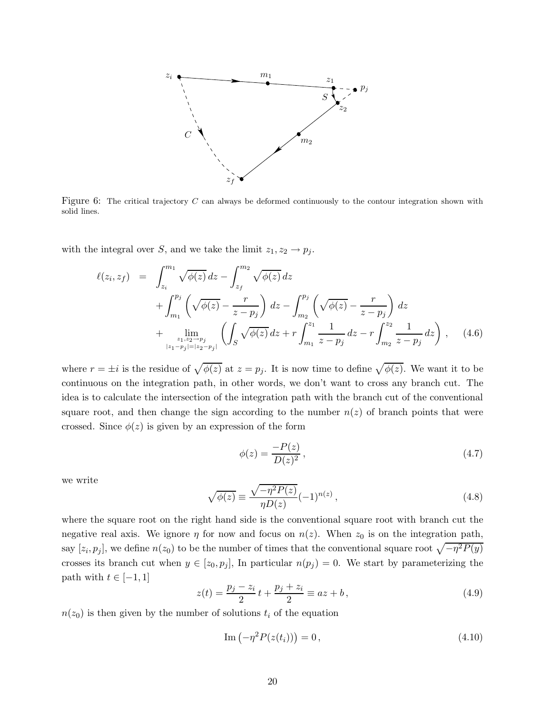

<span id="page-19-0"></span>Figure 6: The critical trajectory C can always be deformed continuously to the contour integration shown with solid lines.

<span id="page-19-3"></span>with the integral over S, and we take the limit  $z_1, z_2 \rightarrow p_j$ .

$$
\ell(z_i, z_f) = \int_{z_i}^{m_1} \sqrt{\phi(z)} dz - \int_{z_f}^{m_2} \sqrt{\phi(z)} dz \n+ \int_{m_1}^{p_j} \left( \sqrt{\phi(z)} - \frac{r}{z - p_j} \right) dz - \int_{m_2}^{p_j} \left( \sqrt{\phi(z)} - \frac{r}{z - p_j} \right) dz \n+ \lim_{\substack{z_1, z_2 \to p_j \\ |z_1 - p_j| = |z_2 - p_j|}} \left( \int_S \sqrt{\phi(z)} dz + r \int_{m_1}^{z_1} \frac{1}{z - p_j} dz - r \int_{m_2}^{z_2} \frac{1}{z - p_j} dz \right), \quad (4.6)
$$

where  $r = \pm i$  is the residue of  $\sqrt{\phi(z)}$  at  $z = p_j$ . It is now time to define  $\sqrt{\phi(z)}$ . We want it to be continuous on the integration path, in other words, we don't want to cross any branch cut. The idea is to calculate the intersection of the integration path with the branch cut of the conventional square root, and then change the sign according to the number  $n(z)$  of branch points that were crossed. Since  $\phi(z)$  is given by an expression of the form

$$
\phi(z) = \frac{-P(z)}{D(z)^2},\tag{4.7}
$$

<span id="page-19-1"></span>we write

$$
\sqrt{\phi(z)} \equiv \frac{\sqrt{-\eta^2 P(z)}}{\eta D(z)} (-1)^{n(z)},
$$
\n(4.8)

where the square root on the right hand side is the conventional square root with branch cut the negative real axis. We ignore  $\eta$  for now and focus on  $n(z)$ . When  $z_0$  is on the integration path, say  $[z_i, p_j]$ , we define  $n(z_0)$  to be the number of times that the conventional square root  $\sqrt{-\eta^2 P(y)}$ crosses its branch cut when  $y \in [z_0, p_j]$ , In particular  $n(p_j) = 0$ . We start by parameterizing the path with  $t \in [-1, 1]$ 

$$
z(t) = \frac{p_j - z_i}{2}t + \frac{p_j + z_i}{2} \equiv az + b,\tag{4.9}
$$

 $n(z_0)$  is then given by the number of solutions  $t_i$  of the equation

<span id="page-19-2"></span>
$$
\operatorname{Im}\left(-\eta^{2}P(z(t_{i}))\right) = 0, \qquad (4.10)
$$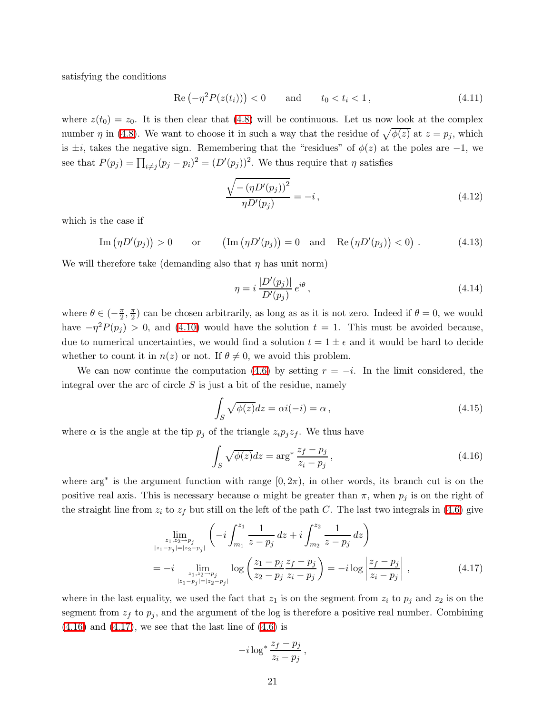satisfying the conditions

$$
\operatorname{Re}\left(-\eta^{2}P(z(t_{i}))\right) < 0 \qquad \text{and} \qquad t_{0} < t_{i} < 1 \,, \tag{4.11}
$$

where  $z(t_0) = z_0$ . It is then clear that [\(4.8\)](#page-19-1) will be continuous. Let us now look at the complex number  $\eta$  in [\(4.8\)](#page-19-1). We want to choose it in such a way that the residue of  $\sqrt{\phi(z)}$  at  $z = p_j$ , which is  $\pm i$ , takes the negative sign. Remembering that the "residues" of  $\phi(z)$  at the poles are  $-1$ , we see that  $P(p_j) = \prod_{i \neq j} (p_j - p_i)^2 = (D'(p_j))^2$ . We thus require that  $\eta$  satisfies

$$
\frac{\sqrt{-(\eta D'(p_j))^2}}{\eta D'(p_j)} = -i, \qquad (4.12)
$$

which is the case if

Im 
$$
(\eta D'(p_j)) > 0
$$
 or  $(Im (\eta D'(p_j)) = 0$  and Re  $(\eta D'(p_j)) < 0$ . (4.13)

We will therefore take (demanding also that  $\eta$  has unit norm)

<span id="page-20-2"></span>
$$
\eta = i \frac{|D'(p_j)|}{D'(p_j)} e^{i\theta},\qquad(4.14)
$$

where  $\theta \in \left(-\frac{\pi}{2}\right)$  $\frac{\pi}{2}, \frac{\pi}{2}$  $\frac{\pi}{2}$ ) can be chosen arbitrarily, as long as as it is not zero. Indeed if  $\theta = 0$ , we would have  $-\eta^2 P(p_j) > 0$ , and [\(4.10\)](#page-19-2) would have the solution  $t = 1$ . This must be avoided because, due to numerical uncertainties, we would find a solution  $t = 1 \pm \epsilon$  and it would be hard to decide whether to count it in  $n(z)$  or not. If  $\theta \neq 0$ , we avoid this problem.

We can now continue the computation [\(4.6\)](#page-19-3) by setting  $r = -i$ . In the limit considered, the integral over the arc of circle  $S$  is just a bit of the residue, namely

<span id="page-20-0"></span>
$$
\int_{S} \sqrt{\phi(z)} dz = \alpha i(-i) = \alpha , \qquad (4.15)
$$

where  $\alpha$  is the angle at the tip  $p_j$  of the triangle  $z_i p_j z_f$ . We thus have

$$
\int_{S} \sqrt{\phi(z)} dz = \arg^* \frac{z_f - p_j}{z_i - p_j},\tag{4.16}
$$

<span id="page-20-1"></span>where  $\arg^*$  is the argument function with range  $[0, 2\pi)$ , in other words, its branch cut is on the positive real axis. This is necessary because  $\alpha$  might be greater than  $\pi$ , when  $p_j$  is on the right of the straight line from  $z_i$  to  $z_f$  but still on the left of the path C. The last two integrals in [\(4.6\)](#page-19-3) give

$$
\lim_{\substack{z_1, z_2 \to p_j \\ |z_1 - p_j| = |z_2 - p_j|}} \left( -i \int_{m_1}^{z_1} \frac{1}{z - p_j} dz + i \int_{m_2}^{z_2} \frac{1}{z - p_j} dz \right)
$$
\n
$$
= -i \lim_{\substack{z_1, z_2 \to p_j \\ |z_1 - p_j| = |z_2 - p_j|}} \log \left( \frac{z_1 - p_j}{z_2 - p_j} \frac{z_f - p_j}{z_i - p_j} \right) = -i \log \left| \frac{z_f - p_j}{z_i - p_j} \right|,
$$
\n(4.17)

where in the last equality, we used the fact that  $z_1$  is on the segment from  $z_i$  to  $p_j$  and  $z_2$  is on the segment from  $z_f$  to  $p_j$ , and the argument of the log is therefore a positive real number. Combining  $(4.16)$  and  $(4.17)$ , we see that the last line of  $(4.6)$  is

$$
-i\log^* \frac{z_f-p_j}{z_i-p_j},
$$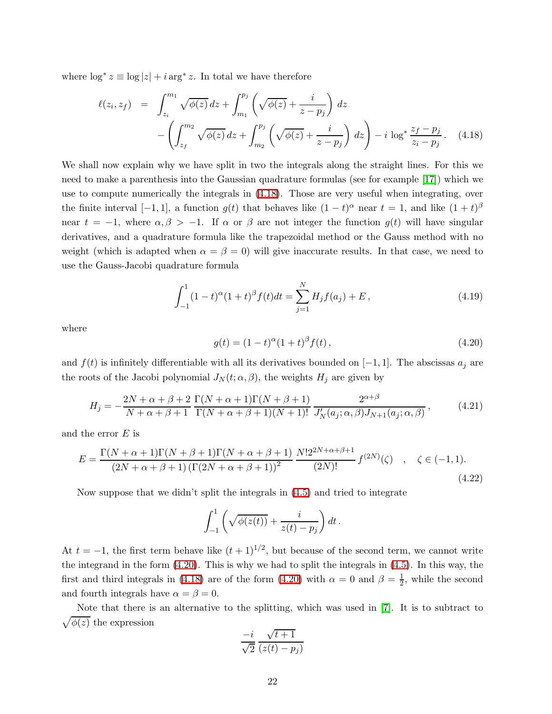<span id="page-21-0"></span>where  $\log^* z \equiv \log |z| + i \arg^* z$ . In total we have therefore

$$
\ell(z_i, z_f) = \int_{z_i}^{m_1} \sqrt{\phi(z)} \, dz + \int_{m_1}^{p_j} \left( \sqrt{\phi(z)} + \frac{i}{z - p_j} \right) \, dz - \left( \int_{z_f}^{m_2} \sqrt{\phi(z)} \, dz + \int_{m_2}^{p_j} \left( \sqrt{\phi(z)} + \frac{i}{z - p_j} \right) \, dz \right) - i \, \log^* \frac{z_f - p_j}{z_i - p_j}. \tag{4.18}
$$

We shall now explain why we have split in two the integrals along the straight lines. For this we need to make a parenthesis into the Gaussian quadrature formulas (see for example [\[17\]](#page-44-1)) which we use to compute numerically the integrals in [\(4.18\)](#page-21-0). Those are very useful when integrating, over the finite interval [-1, 1], a function  $g(t)$  that behaves like  $(1-t)^\alpha$  near  $t = 1$ , and like  $(1 + t)^\beta$ near  $t = -1$ , where  $\alpha, \beta > -1$ . If  $\alpha$  or  $\beta$  are not integer the function  $g(t)$  will have singular derivatives, and a quadrature formula like the trapezoidal method or the Gauss method with no weight (which is adapted when  $\alpha = \beta = 0$ ) will give inaccurate results. In that case, we need to use the Gauss-Jacobi quadrature formula

$$
\int_{-1}^{1} (1-t)^{\alpha} (1+t)^{\beta} f(t) dt = \sum_{j=1}^{N} H_j f(a_j) + E,
$$
\n(4.19)

<span id="page-21-1"></span>where

$$
g(t) = (1 - t)^{\alpha} (1 + t)^{\beta} f(t), \qquad (4.20)
$$

and  $f(t)$  is infinitely differentiable with all its derivatives bounded on [-1,1]. The abscissas  $a_j$  are the roots of the Jacobi polynomial  $J_N(t; \alpha, \beta)$ , the weights  $H_j$  are given by

$$
H_j = -\frac{2N + \alpha + \beta + 2}{N + \alpha + \beta + 1} \frac{\Gamma(N + \alpha + 1)\Gamma(N + \beta + 1)}{\Gamma(N + \alpha + \beta + 1)(N + 1)!} \frac{2^{\alpha + \beta}}{J'_N(a_j; \alpha, \beta)J_{N+1}(a_j; \alpha, \beta)},
$$
(4.21)

and the error  $E$  is

$$
E = \frac{\Gamma(N + \alpha + 1)\Gamma(N + \beta + 1)\Gamma(N + \alpha + \beta + 1)}{(2N + \alpha + \beta + 1)(\Gamma(2N + \alpha + \beta + 1))^2} \frac{N!2^{2N + \alpha + \beta + 1}}{(2N)!} f^{(2N)}(\zeta) , \quad \zeta \in (-1, 1).
$$
\n(4.22)

Now suppose that we didn't split the integrals in [\(4.5\)](#page-18-1) and tried to integrate

$$
\int_{-1}^{1} \left( \sqrt{\phi(z(t))} + \frac{i}{z(t) - p_j} \right) dt \, .
$$

At  $t = -1$ , the first term behave like  $(t + 1)^{1/2}$ , but because of the second term, we cannot write the integrand in the form [\(4.20\)](#page-21-1). This is why we had to split the integrals in [\(4.5\)](#page-18-1). In this way, the first and third integrals in [\(4.18\)](#page-21-0) are of the form [\(4.20\)](#page-21-1) with  $\alpha = 0$  and  $\beta = \frac{1}{2}$  $\frac{1}{2}$ , while the second and fourth integrals have  $\alpha = \beta = 0$ .

Note that there is an alternative to the splitting, which was used in [\[7\]](#page-43-6). It is to subtract to  $\sqrt{\phi(z)}$  the expression

$$
\frac{-i}{\sqrt{2}}\frac{\sqrt{t+1}}{(z(t)-p_j)}
$$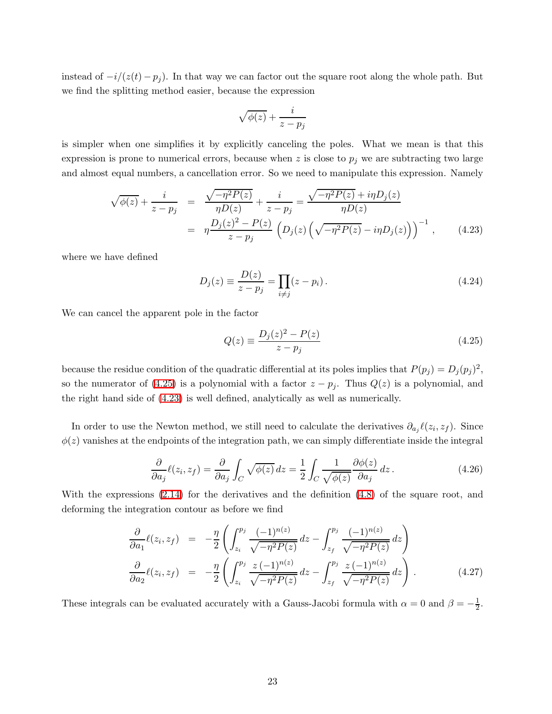instead of  $-i/(z(t) - p_j)$ . In that way we can factor out the square root along the whole path. But we find the splitting method easier, because the expression

$$
\sqrt{\phi(z)} + \frac{i}{z-p_j}
$$

<span id="page-22-1"></span>is simpler when one simplifies it by explicitly canceling the poles. What we mean is that this expression is prone to numerical errors, because when z is close to  $p_j$  we are subtracting two large and almost equal numbers, a cancellation error. So we need to manipulate this expression. Namely

$$
\sqrt{\phi(z)} + \frac{i}{z - p_j} = \frac{\sqrt{-\eta^2 P(z)}}{\eta D(z)} + \frac{i}{z - p_j} = \frac{\sqrt{-\eta^2 P(z)} + i\eta D_j(z)}{\eta D(z)}
$$
  
= 
$$
\eta \frac{D_j(z)^2 - P(z)}{z - p_j} \left( D_j(z) \left( \sqrt{-\eta^2 P(z)} - i\eta D_j(z) \right) \right)^{-1}, \qquad (4.23)
$$

where we have defined

<span id="page-22-0"></span>
$$
D_j(z) \equiv \frac{D(z)}{z - p_j} = \prod_{i \neq j} (z - p_i).
$$
 (4.24)

We can cancel the apparent pole in the factor

$$
Q(z) \equiv \frac{D_j(z)^2 - P(z)}{z - p_j} \tag{4.25}
$$

because the residue condition of the quadratic differential at its poles implies that  $P(p_j) = D_j(p_j)^2$ , so the numerator of [\(4.25\)](#page-22-0) is a polynomial with a factor  $z - p_j$ . Thus  $Q(z)$  is a polynomial, and the right hand side of [\(4.23\)](#page-22-1) is well defined, analytically as well as numerically.

In order to use the Newton method, we still need to calculate the derivatives  $\partial_{a_j}\ell(z_i, z_f)$ . Since  $\phi(z)$  vanishes at the endpoints of the integration path, we can simply differentiate inside the integral

$$
\frac{\partial}{\partial a_j} \ell(z_i, z_f) = \frac{\partial}{\partial a_j} \int_C \sqrt{\phi(z)} \, dz = \frac{1}{2} \int_C \frac{1}{\sqrt{\phi(z)}} \frac{\partial \phi(z)}{\partial a_j} \, dz \,. \tag{4.26}
$$

With the expressions [\(2.14\)](#page-7-1) for the derivatives and the definition [\(4.8\)](#page-19-1) of the square root, and deforming the integration contour as before we find

$$
\frac{\partial}{\partial a_1} \ell(z_i, z_f) = -\frac{\eta}{2} \left( \int_{z_i}^{p_j} \frac{(-1)^{n(z)}}{\sqrt{-\eta^2 P(z)}} dz - \int_{z_f}^{p_j} \frac{(-1)^{n(z)}}{\sqrt{-\eta^2 P(z)}} dz \right)
$$
\n
$$
\frac{\partial}{\partial a_2} \ell(z_i, z_f) = -\frac{\eta}{2} \left( \int_{z_i}^{p_j} \frac{z (-1)^{n(z)}}{\sqrt{-\eta^2 P(z)}} dz - \int_{z_f}^{p_j} \frac{z (-1)^{n(z)}}{\sqrt{-\eta^2 P(z)}} dz \right).
$$
\n(4.27)

These integrals can be evaluated accurately with a Gauss-Jacobi formula with  $\alpha = 0$  and  $\beta = -\frac{1}{2}$  $rac{1}{2}$ .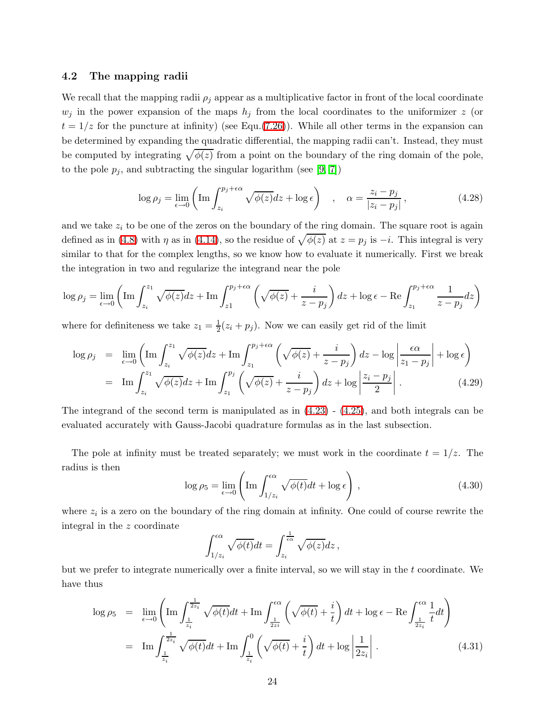### <span id="page-23-0"></span>4.2 The mapping radii

We recall that the mapping radii  $\rho_j$  appear as a multiplicative factor in front of the local coordinate  $w_j$  in the power expansion of the maps  $h_j$  from the local coordinates to the uniformizer z (or  $t = 1/z$  for the puncture at infinity) (see Equ.[\(7.26\)](#page-38-0)). While all other terms in the expansion can be determined by expanding the quadratic differential, the mapping radii can't. Instead, they must be computed by integrating  $\sqrt{\phi(z)}$  from a point on the boundary of the ring domain of the pole, to the pole  $p_j$ , and subtracting the singular logarithm (see [\[9,](#page-43-8) [7\]](#page-43-6))

$$
\log \rho_j = \lim_{\epsilon \to 0} \left( \operatorname{Im} \int_{z_i}^{p_j + \epsilon \alpha} \sqrt{\phi(z)} dz + \log \epsilon \right) , \quad \alpha = \frac{z_i - p_j}{|z_i - p_j|} , \tag{4.28}
$$

and we take  $z_i$  to be one of the zeros on the boundary of the ring domain. The square root is again defined as in [\(4.8\)](#page-19-1) with  $\eta$  as in [\(4.14\)](#page-20-2), so the residue of  $\sqrt{\phi(z)}$  at  $z = p_j$  is  $-i$ . This integral is very similar to that for the complex lengths, so we know how to evaluate it numerically. First we break the integration in two and regularize the integrand near the pole

$$
\log \rho_j = \lim_{\epsilon \to 0} \left( \operatorname{Im} \int_{z_i}^{z_1} \sqrt{\phi(z)} dz + \operatorname{Im} \int_{z_1}^{p_j + \epsilon \alpha} \left( \sqrt{\phi(z)} + \frac{i}{z - p_j} \right) dz + \log \epsilon - \operatorname{Re} \int_{z_1}^{p_j + \epsilon \alpha} \frac{1}{z - p_j} dz \right)
$$

where for definiteness we take  $z_1 = \frac{1}{2}(z_i + p_j)$ . Now we can easily get rid of the limit

$$
\log \rho_j = \lim_{\epsilon \to 0} \left( \operatorname{Im} \int_{z_i}^{z_1} \sqrt{\phi(z)} dz + \operatorname{Im} \int_{z_1}^{p_j + \epsilon \alpha} \left( \sqrt{\phi(z)} + \frac{i}{z - p_j} \right) dz - \log \left| \frac{\epsilon \alpha}{z_1 - p_j} \right| + \log \epsilon \right)
$$
  
= 
$$
\operatorname{Im} \int_{z_i}^{z_1} \sqrt{\phi(z)} dz + \operatorname{Im} \int_{z_1}^{p_j} \left( \sqrt{\phi(z)} + \frac{i}{z - p_j} \right) dz + \log \left| \frac{z_i - p_j}{2} \right| . \tag{4.29}
$$

The integrand of the second term is manipulated as in  $(4.23)$  -  $(4.25)$ , and both integrals can be evaluated accurately with Gauss-Jacobi quadrature formulas as in the last subsection.

The pole at infinity must be treated separately; we must work in the coordinate  $t = 1/z$ . The radius is then

$$
\log \rho_5 = \lim_{\epsilon \to 0} \left( \operatorname{Im} \int_{1/z_i}^{\epsilon \alpha} \sqrt{\phi(t)} dt + \log \epsilon \right) , \qquad (4.30)
$$

where  $z_i$  is a zero on the boundary of the ring domain at infinity. One could of course rewrite the integral in the z coordinate

$$
\int_{1/z_i}^{\epsilon\alpha} \sqrt{\phi(t)}dt = \int_{z_i}^{\frac{1}{\epsilon\alpha}} \sqrt{\phi(z)}dz,
$$

but we prefer to integrate numerically over a finite interval, so we will stay in the  $t$  coordinate. We have thus

$$
\log \rho_5 = \lim_{\epsilon \to 0} \left( \operatorname{Im} \int_{\frac{1}{z_i}}^{\frac{1}{2z_i}} \sqrt{\phi(t)} dt + \operatorname{Im} \int_{\frac{1}{2z_i}}^{\epsilon \alpha} \left( \sqrt{\phi(t)} + \frac{i}{t} \right) dt + \log \epsilon - \operatorname{Re} \int_{\frac{1}{2z_i}}^{\epsilon \alpha} \frac{1}{t} dt \right)
$$
  
= 
$$
\operatorname{Im} \int_{\frac{1}{z_i}}^{\frac{1}{2z_i}} \sqrt{\phi(t)} dt + \operatorname{Im} \int_{\frac{1}{z_i}}^0 \left( \sqrt{\phi(t)} + \frac{i}{t} \right) dt + \log \left| \frac{1}{2z_i} \right| .
$$
 (4.31)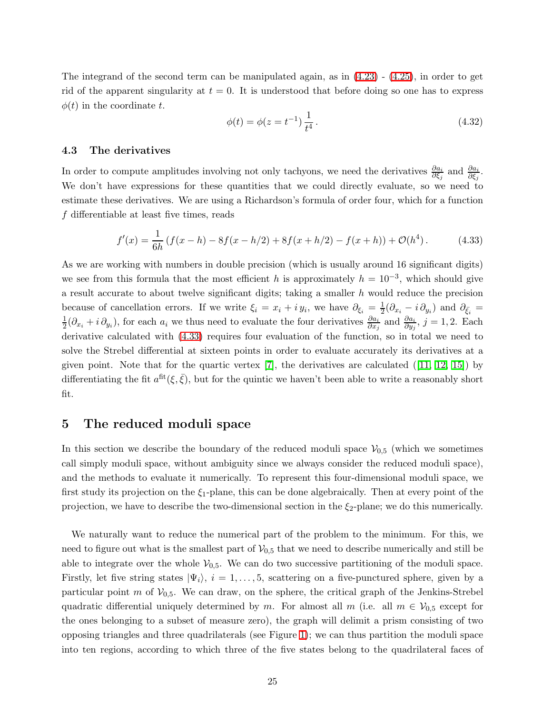The integrand of the second term can be manipulated again, as in [\(4.23\)](#page-22-1) - [\(4.25\)](#page-22-0), in order to get rid of the apparent singularity at  $t = 0$ . It is understood that before doing so one has to express  $\phi(t)$  in the coordinate t.

$$
\phi(t) = \phi(z = t^{-1}) \frac{1}{t^4}.
$$
\n(4.32)

### <span id="page-24-0"></span>4.3 The derivatives

In order to compute amplitudes involving not only tachyons, we need the derivatives  $\frac{\partial a_i}{\partial \xi_j}$  and  $\frac{\partial a_i}{\partial \xi_j}$ . We don't have expressions for these quantities that we could directly evaluate, so we need to estimate these derivatives. We are using a Richardson's formula of order four, which for a function f differentiable at least five times, reads

<span id="page-24-2"></span>
$$
f'(x) = \frac{1}{6h} \left( f(x-h) - 8f(x-h/2) + 8f(x+h/2) - f(x+h) \right) + \mathcal{O}(h^4).
$$
 (4.33)

As we are working with numbers in double precision (which is usually around 16 significant digits) we see from this formula that the most efficient h is approximately  $h = 10^{-3}$ , which should give a result accurate to about twelve significant digits; taking a smaller  $h$  would reduce the precision because of cancellation errors. If we write  $\xi_i = x_i + iy_i$ , we have  $\partial_{\xi_i} = \frac{1}{2}$  $\frac{1}{2}(\partial_{x_i} - i \partial_{y_i})$  and  $\partial_{\bar{\xi}_i} =$ 1  $\frac{1}{2}(\partial_{x_i} + i \partial_{y_i})$ , for each  $a_i$  we thus need to evaluate the four derivatives  $\frac{\partial a_i}{\partial x_j}$  and  $\frac{\partial a_i}{\partial y_j}$ ,  $j = 1, 2$ . Each derivative calculated with [\(4.33\)](#page-24-2) requires four evaluation of the function, so in total we need to solve the Strebel differential at sixteen points in order to evaluate accurately its derivatives at a givenpoint. Note that for the quartic vertex  $[7]$ , the derivatives are calculated  $([11, 12, 15])$  $([11, 12, 15])$  $([11, 12, 15])$  $([11, 12, 15])$  $([11, 12, 15])$  by differentiating the fit  $a^{\text{fit}}(\xi, \bar{\xi})$ , but for the quintic we haven't been able to write a reasonably short fit.

## <span id="page-24-1"></span>5 The reduced moduli space

In this section we describe the boundary of the reduced moduli space  $V_{0,5}$  (which we sometimes call simply moduli space, without ambiguity since we always consider the reduced moduli space), and the methods to evaluate it numerically. To represent this four-dimensional moduli space, we first study its projection on the  $\xi_1$ -plane, this can be done algebraically. Then at every point of the projection, we have to describe the two-dimensional section in the  $\xi_2$ -plane; we do this numerically.

We naturally want to reduce the numerical part of the problem to the minimum. For this, we need to figure out what is the smallest part of  $V_{0,5}$  that we need to describe numerically and still be able to integrate over the whole  $V_{0,5}$ . We can do two successive partitioning of the moduli space. Firstly, let five string states  $|\Psi_i\rangle$ ,  $i = 1, \ldots, 5$ , scattering on a five-punctured sphere, given by a particular point m of  $V_{0,5}$ . We can draw, on the sphere, the critical graph of the Jenkins-Strebel quadratic differential uniquely determined by m. For almost all  $m$  (i.e. all  $m \in V_{0,5}$  except for the ones belonging to a subset of measure zero), the graph will delimit a prism consisting of two opposing triangles and three quadrilaterals (see Figure [1\)](#page-4-0); we can thus partition the moduli space into ten regions, according to which three of the five states belong to the quadrilateral faces of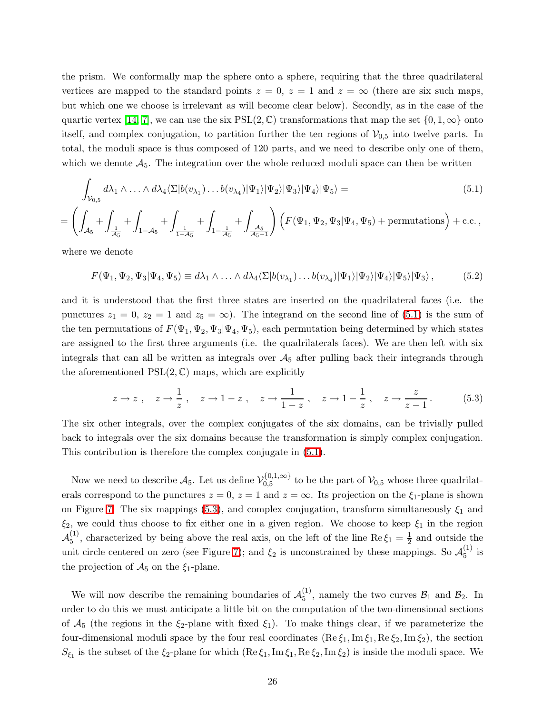the prism. We conformally map the sphere onto a sphere, requiring that the three quadrilateral vertices are mapped to the standard points  $z = 0$ ,  $z = 1$  and  $z = \infty$  (there are six such maps, but which one we choose is irrelevant as will become clear below). Secondly, as in the case of the quartic vertex [\[14,](#page-43-13) [7\]](#page-43-6), we can use the six  $PSL(2,\mathbb{C})$  transformations that map the set  $\{0, 1, \infty\}$  onto itself, and complex conjugation, to partition further the ten regions of  $V_{0.5}$  into twelve parts. In total, the moduli space is thus composed of 120 parts, and we need to describe only one of them, which we denote  $A_5$ . The integration over the whole reduced moduli space can then be written

$$
\int_{\mathcal{V}_{0,5}} d\lambda_1 \wedge \ldots \wedge d\lambda_4 \langle \Sigma | b(v_{\lambda_1}) \ldots b(v_{\lambda_4}) | \Psi_1 \rangle | \Psi_2 \rangle | \Psi_3 \rangle | \Psi_4 \rangle | \Psi_5 \rangle =
$$
\n(5.1)

<span id="page-25-0"></span>
$$
= \left( \int_{\mathcal{A}_5} + \int_{\frac{1}{\mathcal{A}_5}} + \int_{1-\mathcal{A}_5} + \int_{\frac{1}{1-\mathcal{A}_5}} + \int_{1-\frac{1}{\mathcal{A}_5}} + \int_{\frac{\mathcal{A}_5}{\mathcal{A}_5 - 1}} \right) \left( F(\Psi_1, \Psi_2, \Psi_3 | \Psi_4, \Psi_5) + \text{permutations} \right) + \text{c.c.} \,,
$$

where we denote

$$
F(\Psi_1, \Psi_2, \Psi_3 | \Psi_4, \Psi_5) \equiv d\lambda_1 \wedge \ldots \wedge d\lambda_4 \langle \Sigma | b(v_{\lambda_1}) \ldots b(v_{\lambda_4}) | \Psi_1 \rangle | \Psi_2 \rangle | \Psi_4 \rangle | \Psi_5 \rangle | \Psi_3 \rangle , \tag{5.2}
$$

and it is understood that the first three states are inserted on the quadrilateral faces (i.e. the punctures  $z_1 = 0$ ,  $z_2 = 1$  and  $z_5 = \infty$ ). The integrand on the second line of [\(5.1\)](#page-25-0) is the sum of the ten permutations of  $F(\Psi_1, \Psi_2, \Psi_3 | \Psi_4, \Psi_5)$ , each permutation being determined by which states are assigned to the first three arguments (i.e. the quadrilaterals faces). We are then left with six integrals that can all be written as integrals over  $A_5$  after pulling back their integrands through the aforementioned  $PSL(2, \mathbb{C})$  maps, which are explicitly

<span id="page-25-1"></span>
$$
z \to z
$$
,  $z \to \frac{1}{z}$ ,  $z \to 1-z$ ,  $z \to \frac{1}{1-z}$ ,  $z \to 1-\frac{1}{z}$ ,  $z \to \frac{z}{z-1}$ . (5.3)

The six other integrals, over the complex conjugates of the six domains, can be trivially pulled back to integrals over the six domains because the transformation is simply complex conjugation. This contribution is therefore the complex conjugate in [\(5.1\)](#page-25-0).

Now we need to describe  $A_5$ . Let us define  $\mathcal{V}_{0,5}^{\{0,1,\infty\}}$  $\mathcal{V}_{0,5}^{(0,1,\infty)}$  to be the part of  $\mathcal{V}_{0,5}$  whose three quadrilaterals correspond to the punctures  $z = 0$ ,  $z = 1$  and  $z = \infty$ . Its projection on the  $\xi_1$ -plane is shown on Figure [7.](#page-26-0) The six mappings [\(5.3\)](#page-25-1), and complex conjugation, transform simultaneously  $\xi_1$  and  $\xi_2$ , we could thus choose to fix either one in a given region. We choose to keep  $\xi_1$  in the region  $\mathcal{A}_5^{(1)}$  $\binom{11}{5}$ , characterized by being above the real axis, on the left of the line Re  $\xi_1 = \frac{1}{2}$  $\frac{1}{2}$  and outside the unit circle centered on zero (see Figure [7\)](#page-26-0); and  $\xi_2$  is unconstrained by these mappings. So  $\mathcal{A}_5^{(1)}$  $\frac{1}{5}$  is the projection of  $\mathcal{A}_5$  on the  $\xi_1$ -plane.

We will now describe the remaining boundaries of  $\mathcal{A}_{5}^{(1)}$  $_{5}^{(1)}$ , namely the two curves  $B_1$  and  $B_2$ . In order to do this we must anticipate a little bit on the computation of the two-dimensional sections of  $\mathcal{A}_5$  (the regions in the  $\xi_2$ -plane with fixed  $\xi_1$ ). To make things clear, if we parameterize the four-dimensional moduli space by the four real coordinates  $(Re \xi_1, Im \xi_1, Re \xi_2, Im \xi_2)$ , the section  $S_{\xi_1}$  is the subset of the  $\xi_2$ -plane for which  $(Re \xi_1, Im \xi_1, Re \xi_2, Im \xi_2)$  is inside the moduli space. We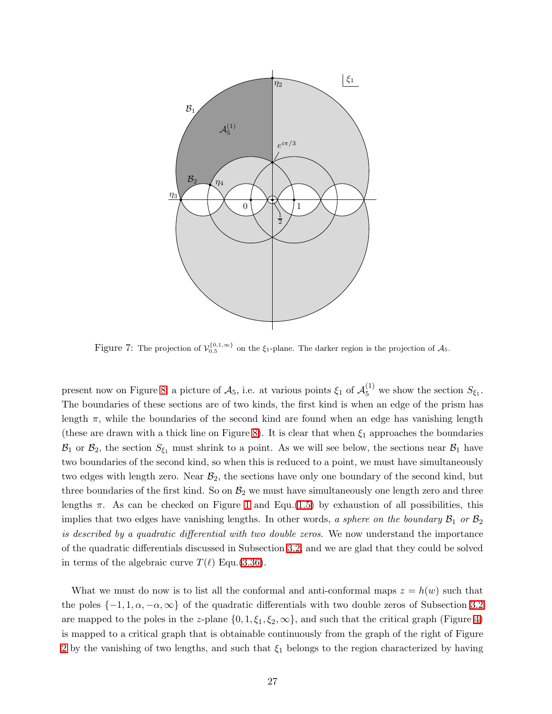

<span id="page-26-0"></span>Figure 7: The projection of  $\mathcal{V}_{0,5}^{\{0,1,\infty\}}$  on the  $\xi_1$ -plane. The darker region is the projection of  $\mathcal{A}_5$ .

present now on Figure [8,](#page-27-0) a picture of  $A_5$ , i.e. at various points  $\xi_1$  of  $A_5^{(1)}$  we show the section  $S_{\xi_1}$ . The boundaries of these sections are of two kinds, the first kind is when an edge of the prism has length  $\pi$ , while the boundaries of the second kind are found when an edge has vanishing length (these are drawn with a thick line on Figure [8\)](#page-27-0). It is clear that when  $\xi_1$  approaches the boundaries  $\mathcal{B}_1$  or  $\mathcal{B}_2$ , the section  $S_{\xi_1}$  must shrink to a point. As we will see below, the sections near  $\mathcal{B}_1$  have two boundaries of the second kind, so when this is reduced to a point, we must have simultaneously two edges with length zero. Near  $\mathcal{B}_2$ , the sections have only one boundary of the second kind, but three boundaries of the first kind. So on  $B_2$  we must have simultaneously one length zero and three lengths  $\pi$ . As can be checked on Figure [1](#page-4-0) and Equ.[\(1.5\)](#page-5-2) by exhaustion of all possibilities, this implies that two edges have vanishing lengths. In other words, a sphere on the boundary  $\mathcal{B}_1$  or  $\mathcal{B}_2$ is described by a quadratic differential with two double zeros. We now understand the importance of the quadratic differentials discussed in Subsection [3.2,](#page-13-0) and we are glad that they could be solved in terms of the algebraic curve  $T(\ell)$  Equ.[\(3.36\)](#page-16-0).

What we must do now is to list all the conformal and anti-conformal maps  $z = h(w)$  such that the poles  $\{-1, 1, \alpha, -\alpha, \infty\}$  of the quadratic differentials with two double zeros of Subsection [3.2](#page-13-0) are mapped to the poles in the z-plane  $\{0, 1, \xi_1, \xi_2, \infty\}$ , and such that the critical graph (Figure [4\)](#page-13-1) is mapped to a critical graph that is obtainable continuously from the graph of the right of Figure [2](#page-8-0) by the vanishing of two lengths, and such that  $\xi_1$  belongs to the region characterized by having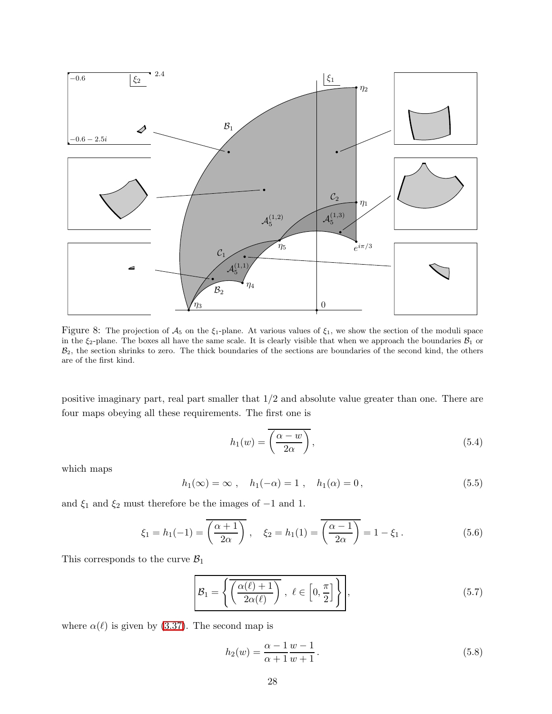

<span id="page-27-0"></span>Figure 8: The projection of  $A_5$  on the  $\xi_1$ -plane. At various values of  $\xi_1$ , we show the section of the moduli space in the  $\xi_2$ -plane. The boxes all have the same scale. It is clearly visible that when we approach the boundaries  $\mathcal{B}_1$  or  $B_2$ , the section shrinks to zero. The thick boundaries of the sections are boundaries of the second kind, the others are of the first kind.

positive imaginary part, real part smaller that 1/2 and absolute value greater than one. There are four maps obeying all these requirements. The first one is

$$
h_1(w) = \overline{\left(\frac{\alpha - w}{2\alpha}\right)},\tag{5.4}
$$

which maps

$$
h_1(\infty) = \infty
$$
,  $h_1(-\alpha) = 1$ ,  $h_1(\alpha) = 0$ ,  $(5.5)$ 

and  $\xi_1$  and<br>  $\xi_2$  must therefore be the images of<br>  $-1$  and  $1.$ 

$$
\xi_1 = h_1(-1) = \overline{\left(\frac{\alpha+1}{2\alpha}\right)}, \quad \xi_2 = h_1(1) = \overline{\left(\frac{\alpha-1}{2\alpha}\right)} = 1 - \xi_1.
$$
\n(5.6)

This corresponds to the curve  $\mathcal{B}_1$ 

$$
\mathcal{B}_1 = \left\{ \overline{\left( \frac{\alpha(\ell) + 1}{2\alpha(\ell)} \right)}, \ \ell \in \left[ 0, \frac{\pi}{2} \right] \right\},\tag{5.7}
$$

where  $\alpha(\ell)$  is given by [\(3.37\)](#page-16-1). The second map is

$$
h_2(w) = \frac{\alpha - 1}{\alpha + 1} \frac{w - 1}{w + 1}.
$$
\n(5.8)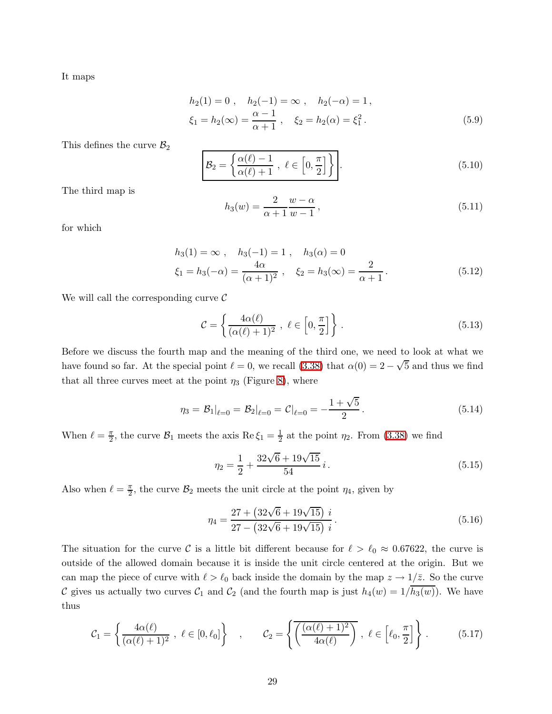It maps

$$
h_2(1) = 0, \quad h_2(-1) = \infty, \quad h_2(-\alpha) = 1,
$$
  
\n
$$
\xi_1 = h_2(\infty) = \frac{\alpha - 1}{\alpha + 1}, \quad \xi_2 = h_2(\alpha) = \xi_1^2.
$$
\n(5.9)

This defines the curve  $\mathcal{B}_2$ 

$$
\mathcal{B}_2 = \left\{ \frac{\alpha(\ell) - 1}{\alpha(\ell) + 1}, \ \ell \in \left[0, \frac{\pi}{2}\right] \right\}.
$$
\n(5.10)

The third map is

$$
h_3(w) = \frac{2}{\alpha + 1} \frac{w - \alpha}{w - 1},
$$
\n(5.11)

for which

$$
h_3(1) = \infty , \quad h_3(-1) = 1 , \quad h_3(\alpha) = 0
$$
  

$$
\xi_1 = h_3(-\alpha) = \frac{4\alpha}{(\alpha + 1)^2} , \quad \xi_2 = h_3(\infty) = \frac{2}{\alpha + 1} .
$$
 (5.12)

We will call the corresponding curve  $\mathcal C$ 

$$
\mathcal{C} = \left\{ \frac{4\alpha(\ell)}{(\alpha(\ell)+1)^2}, \ \ell \in \left[0, \frac{\pi}{2}\right] \right\}.
$$
\n(5.13)

Before we discuss the fourth map and the meaning of the third one, we need to look at what we have found so far. At the special point  $\ell = 0$ , we recall [\(3.38\)](#page-17-2) that  $\alpha(0) = 2 - \sqrt{5}$  and thus we find that all three curves meet at the point  $\eta_3$  (Figure [8\)](#page-27-0), where

$$
\eta_3 = \mathcal{B}_1|_{\ell=0} = \mathcal{B}_2|_{\ell=0} = \mathcal{C}|_{\ell=0} = -\frac{1+\sqrt{5}}{2}.
$$
 (5.14)

When  $\ell = \frac{\pi}{2}$  $\frac{\pi}{2}$ , the curve  $\mathcal{B}_1$  meets the axis Re  $\xi_1 = \frac{1}{2}$  $\frac{1}{2}$  at the point  $\eta_2$ . From [\(3.38\)](#page-17-2) we find

$$
\eta_2 = \frac{1}{2} + \frac{32\sqrt{6} + 19\sqrt{15}}{54} i. \tag{5.15}
$$

Also when  $\ell = \frac{\pi}{2}$  $\frac{\pi}{2}$ , the curve  $\mathcal{B}_2$  meets the unit circle at the point  $\eta_4$ , given by

$$
\eta_4 = \frac{27 + (32\sqrt{6} + 19\sqrt{15}) i}{27 - (32\sqrt{6} + 19\sqrt{15}) i}.
$$
\n(5.16)

The situation for the curve C is a little bit different because for  $\ell > \ell_0 \approx 0.67622$ , the curve is outside of the allowed domain because it is inside the unit circle centered at the origin. But we can map the piece of curve with  $\ell > \ell_0$  back inside the domain by the map  $z \to 1/\bar{z}$ . So the curve C gives us actually two curves  $C_1$  and  $C_2$  (and the fourth map is just  $h_4(w) = 1/h_3(w)$ ). We have thus

$$
\mathcal{C}_1 = \left\{ \frac{4\alpha(\ell)}{(\alpha(\ell)+1)^2}, \ \ell \in [0,\ell_0] \right\} , \qquad \mathcal{C}_2 = \left\{ \overline{\left( \frac{(\alpha(\ell)+1)^2}{4\alpha(\ell)} \right)}, \ \ell \in \left[\ell_0, \frac{\pi}{2}\right] \right\} .
$$
 (5.17)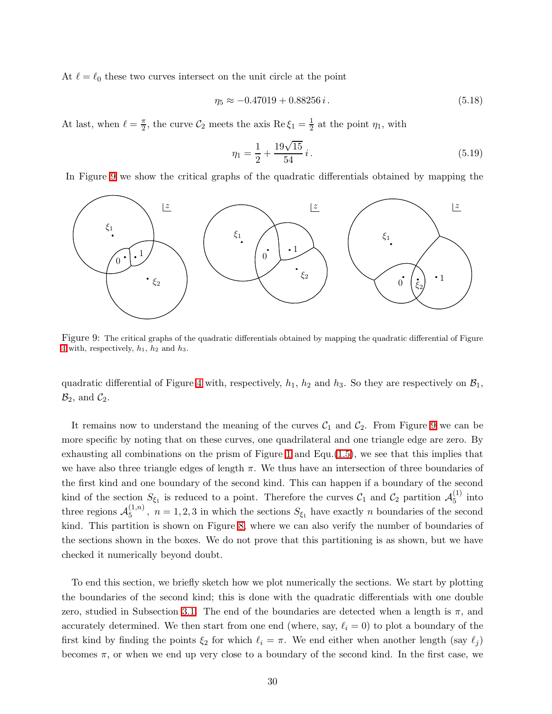At  $\ell = \ell_0$  these two curves intersect on the unit circle at the point

$$
\eta_5 \approx -0.47019 + 0.88256 i. \tag{5.18}
$$

At last, when  $\ell = \frac{\pi}{2}$  $\frac{\pi}{2}$ , the curve  $\mathcal{C}_2$  meets the axis Re  $\xi_1 = \frac{1}{2}$  $\frac{1}{2}$  at the point  $\eta_1$ , with

$$
\eta_1 = \frac{1}{2} + \frac{19\sqrt{15}}{54} i. \tag{5.19}
$$

In Figure [9](#page-29-0) we show the critical graphs of the quadratic differentials obtained by mapping the



<span id="page-29-0"></span>Figure 9: The critical graphs of the quadratic differentials obtained by mapping the quadratic differential of Figure [4](#page-13-1) with, respectively,  $h_1$ ,  $h_2$  and  $h_3$ .

quadratic differential of Figure [4](#page-13-1) with, respectively,  $h_1$ ,  $h_2$  and  $h_3$ . So they are respectively on  $\mathcal{B}_1$ ,  $\mathcal{B}_2$ , and  $\mathcal{C}_2$ .

It remains now to understand the meaning of the curves  $C_1$  and  $C_2$ . From Figure [9](#page-29-0) we can be more specific by noting that on these curves, one quadrilateral and one triangle edge are zero. By exhausting all combinations on the prism of Figure [1](#page-4-0) and Equ. $(1.5)$ , we see that this implies that we have also three triangle edges of length  $\pi$ . We thus have an intersection of three boundaries of the first kind and one boundary of the second kind. This can happen if a boundary of the second kind of the section  $S_{\xi_1}$  is reduced to a point. Therefore the curves  $C_1$  and  $C_2$  partition  $\mathcal{A}_5^{(1)}$  $_{5}^{\left(1\right)}$  into three regions  $\mathcal{A}_5^{(1,n)}$  $S_{5}^{(1,n)}$ ,  $n = 1, 2, 3$  in which the sections  $S_{\xi_1}$  have exactly n boundaries of the second kind. This partition is shown on Figure [8,](#page-27-0) where we can also verify the number of boundaries of the sections shown in the boxes. We do not prove that this partitioning is as shown, but we have checked it numerically beyond doubt.

To end this section, we briefly sketch how we plot numerically the sections. We start by plotting the boundaries of the second kind; this is done with the quadratic differentials with one double zero, studied in Subsection [3.1.](#page-10-0) The end of the boundaries are detected when a length is  $\pi$ , and accurately determined. We then start from one end (where, say,  $\ell_i = 0$ ) to plot a boundary of the first kind by finding the points  $\xi_2$  for which  $\ell_i = \pi$ . We end either when another length (say  $\ell_j$ ) becomes  $\pi$ , or when we end up very close to a boundary of the second kind. In the first case, we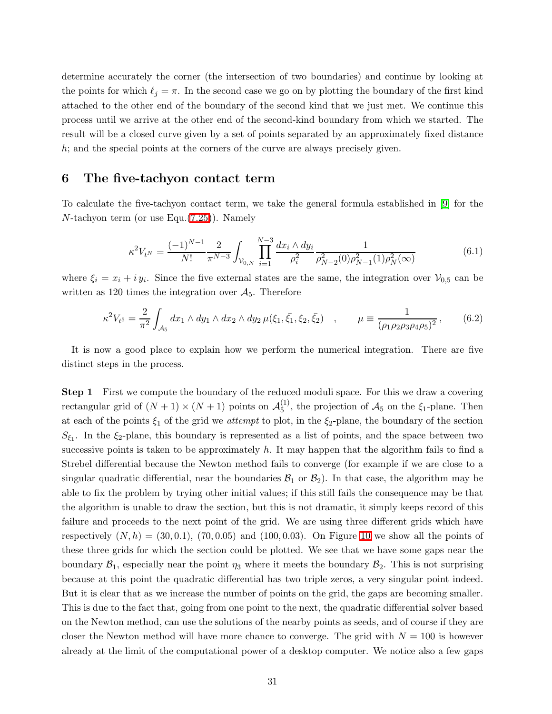determine accurately the corner (the intersection of two boundaries) and continue by looking at the points for which  $\ell_j = \pi$ . In the second case we go on by plotting the boundary of the first kind attached to the other end of the boundary of the second kind that we just met. We continue this process until we arrive at the other end of the second-kind boundary from which we started. The result will be a closed curve given by a set of points separated by an approximately fixed distance h; and the special points at the corners of the curve are always precisely given.

### <span id="page-30-0"></span>6 The five-tachyon contact term

To calculate the five-tachyon contact term, we take the general formula established in [\[9\]](#page-43-8) for the N-tachyon term (or use Equ.[\(7.25\)](#page-37-1)). Namely

$$
\kappa^2 V_{t^N} = \frac{(-1)^{N-1}}{N!} \frac{2}{\pi^{N-3}} \int_{\mathcal{V}_{0,N}} \prod_{i=1}^{N-3} \frac{dx_i \wedge dy_i}{\rho_i^2} \frac{1}{\rho_{N-2}^2(0)\rho_{N-1}^2(1)\rho_N^2(\infty)}
$$
(6.1)

where  $\xi_i = x_i + iy_i$ . Since the five external states are the same, the integration over  $V_{0,5}$  can be written as 120 times the integration over  $A_5$ . Therefore

$$
\kappa^2 V_{t^5} = \frac{2}{\pi^2} \int_{\mathcal{A}_5} dx_1 \wedge dy_1 \wedge dx_2 \wedge dy_2 \,\mu(\xi_1, \bar{\xi_1}, \xi_2, \bar{\xi_2}) \quad , \qquad \mu \equiv \frac{1}{(\rho_1 \rho_2 \rho_3 \rho_4 \rho_5)^2} \,, \tag{6.2}
$$

It is now a good place to explain how we perform the numerical integration. There are five distinct steps in the process.

Step 1 First we compute the boundary of the reduced moduli space. For this we draw a covering rectangular grid of  $(N + 1) \times (N + 1)$  points on  $\mathcal{A}_{5}^{(1)}$  $\zeta_5^{(1)}$ , the projection of  $\mathcal{A}_5$  on the  $\xi_1$ -plane. Then at each of the points  $\xi_1$  of the grid we *attempt* to plot, in the  $\xi_2$ -plane, the boundary of the section  $S_{\xi_1}$ . In the  $\xi_2$ -plane, this boundary is represented as a list of points, and the space between two successive points is taken to be approximately  $h$ . It may happen that the algorithm fails to find a Strebel differential because the Newton method fails to converge (for example if we are close to a singular quadratic differential, near the boundaries  $\mathcal{B}_1$  or  $\mathcal{B}_2$ ). In that case, the algorithm may be able to fix the problem by trying other initial values; if this still fails the consequence may be that the algorithm is unable to draw the section, but this is not dramatic, it simply keeps record of this failure and proceeds to the next point of the grid. We are using three different grids which have respectively  $(N, h) = (30, 0.1), (70, 0.05)$  and  $(100, 0.03)$ . On Figure [10](#page-31-0) we show all the points of these three grids for which the section could be plotted. We see that we have some gaps near the boundary  $\mathcal{B}_1$ , especially near the point  $\eta_3$  where it meets the boundary  $\mathcal{B}_2$ . This is not surprising because at this point the quadratic differential has two triple zeros, a very singular point indeed. But it is clear that as we increase the number of points on the grid, the gaps are becoming smaller. This is due to the fact that, going from one point to the next, the quadratic differential solver based on the Newton method, can use the solutions of the nearby points as seeds, and of course if they are closer the Newton method will have more chance to converge. The grid with  $N = 100$  is however already at the limit of the computational power of a desktop computer. We notice also a few gaps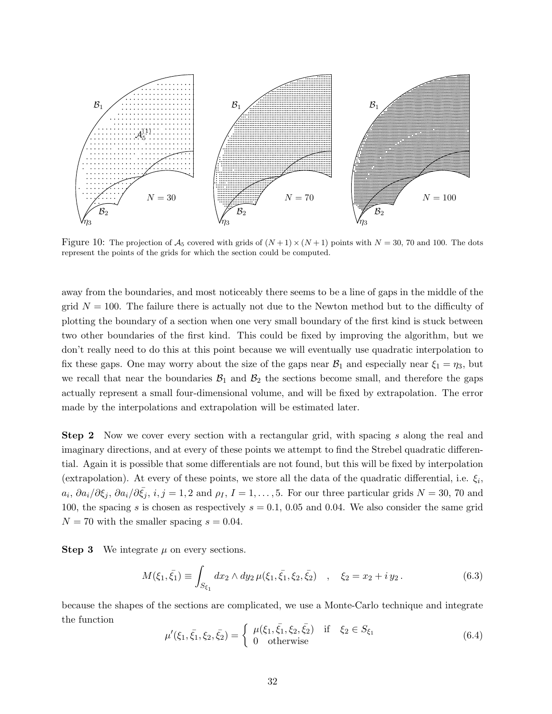

<span id="page-31-0"></span>Figure 10: The projection of  $A_5$  covered with grids of  $(N+1) \times (N+1)$  points with  $N = 30, 70$  and 100. The dots represent the points of the grids for which the section could be computed.

away from the boundaries, and most noticeably there seems to be a line of gaps in the middle of the grid  $N = 100$ . The failure there is actually not due to the Newton method but to the difficulty of plotting the boundary of a section when one very small boundary of the first kind is stuck between two other boundaries of the first kind. This could be fixed by improving the algorithm, but we don't really need to do this at this point because we will eventually use quadratic interpolation to fix these gaps. One may worry about the size of the gaps near  $\mathcal{B}_1$  and especially near  $\xi_1 = \eta_3$ , but we recall that near the boundaries  $\mathcal{B}_1$  and  $\mathcal{B}_2$  the sections become small, and therefore the gaps actually represent a small four-dimensional volume, and will be fixed by extrapolation. The error made by the interpolations and extrapolation will be estimated later.

Step 2 Now we cover every section with a rectangular grid, with spacing s along the real and imaginary directions, and at every of these points we attempt to find the Strebel quadratic differential. Again it is possible that some differentials are not found, but this will be fixed by interpolation (extrapolation). At every of these points, we store all the data of the quadratic differential, i.e.  $\xi_i$ ,  $a_i, \partial a_i/\partial \xi_j, \partial a_i/\partial \bar{\xi_j}, i, j = 1, 2$  and  $\rho_I, I = 1, \ldots, 5$ . For our three particular grids  $N = 30, 70$  and 100, the spacing s is chosen as respectively  $s = 0.1$ , 0.05 and 0.04. We also consider the same grid  $N = 70$  with the smaller spacing  $s = 0.04$ .

**Step 3** We integrate  $\mu$  on every sections.

$$
M(\xi_1, \bar{\xi_1}) \equiv \int_{S_{\xi_1}} dx_2 \wedge dy_2 \,\mu(\xi_1, \bar{\xi_1}, \xi_2, \bar{\xi_2}) \quad , \quad \xi_2 = x_2 + iy_2 \,. \tag{6.3}
$$

because the shapes of the sections are complicated, we use a Monte-Carlo technique and integrate the function

$$
\mu'(\xi_1, \bar{\xi_1}, \xi_2, \bar{\xi_2}) = \begin{cases} \mu(\xi_1, \bar{\xi_1}, \xi_2, \bar{\xi_2}) & \text{if } \xi_2 \in S_{\xi_1} \\ 0 & \text{otherwise} \end{cases}
$$
(6.4)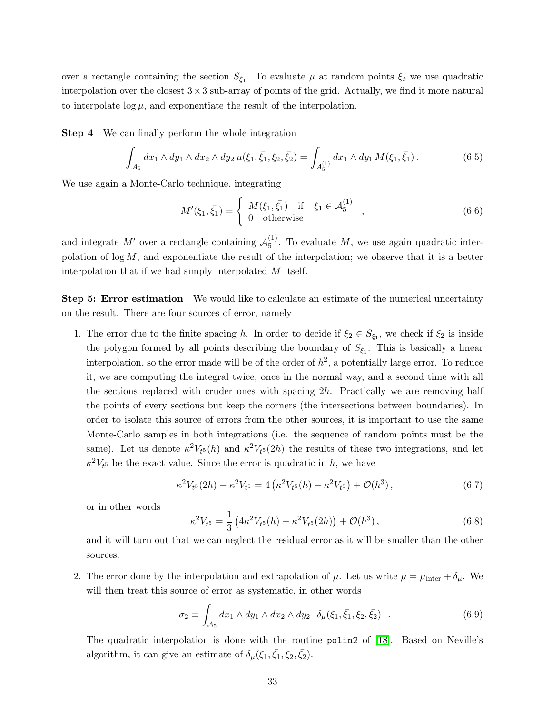over a rectangle containing the section  $S_{\xi_1}$ . To evaluate  $\mu$  at random points  $\xi_2$  we use quadratic interpolation over the closest  $3 \times 3$  sub-array of points of the grid. Actually, we find it more natural to interpolate  $\log \mu$ , and exponentiate the result of the interpolation.

Step 4 We can finally perform the whole integration

$$
\int_{\mathcal{A}_5} dx_1 \wedge dy_1 \wedge dx_2 \wedge dy_2 \,\mu(\xi_1, \bar{\xi_1}, \xi_2, \bar{\xi_2}) = \int_{\mathcal{A}_5^{(1)}} dx_1 \wedge dy_1 \, M(\xi_1, \bar{\xi_1}). \tag{6.5}
$$

We use again a Monte-Carlo technique, integrating

$$
M'(\xi_1, \bar{\xi_1}) = \begin{cases} M(\xi_1, \bar{\xi_1}) & \text{if } \xi_1 \in \mathcal{A}_5^{(1)} \\ 0 & \text{otherwise} \end{cases},
$$
 (6.6)

and integrate  $M'$  over a rectangle containing  $\mathcal{A}_5^{(1)}$  $_{5}^{\text{+}}$ . To evaluate M, we use again quadratic interpolation of  $\log M$ , and exponentiate the result of the interpolation; we observe that it is a better interpolation that if we had simply interpolated M itself.

Step 5: Error estimation We would like to calculate an estimate of the numerical uncertainty on the result. There are four sources of error, namely

1. The error due to the finite spacing h. In order to decide if  $\xi_2 \in S_{\xi_1}$ , we check if  $\xi_2$  is inside the polygon formed by all points describing the boundary of  $S_{\xi_1}$ . This is basically a linear interpolation, so the error made will be of the order of  $h^2$ , a potentially large error. To reduce it, we are computing the integral twice, once in the normal way, and a second time with all the sections replaced with cruder ones with spacing  $2h$ . Practically we are removing half the points of every sections but keep the corners (the intersections between boundaries). In order to isolate this source of errors from the other sources, it is important to use the same Monte-Carlo samples in both integrations (i.e. the sequence of random points must be the same). Let us denote  $\kappa^2 V_{t^5}(h)$  and  $\kappa^2 V_{t^5}(2h)$  the results of these two integrations, and let  $\kappa^2 V_t$ <sub>5</sub> be the exact value. Since the error is quadratic in h, we have

$$
\kappa^2 V_{t^5}(2h) - \kappa^2 V_{t^5} = 4\left(\kappa^2 V_{t^5}(h) - \kappa^2 V_{t^5}\right) + \mathcal{O}(h^3)\,,\tag{6.7}
$$

or in other words

$$
\kappa^2 V_{t^5} = \frac{1}{3} \left( 4\kappa^2 V_{t^5}(h) - \kappa^2 V_{t^5}(2h) \right) + \mathcal{O}(h^3) \,, \tag{6.8}
$$

and it will turn out that we can neglect the residual error as it will be smaller than the other sources.

2. The error done by the interpolation and extrapolation of  $\mu$ . Let us write  $\mu = \mu_{\text{inter}} + \delta_{\mu}$ . We will then treat this source of error as systematic, in other words

$$
\sigma_2 \equiv \int_{\mathcal{A}_5} dx_1 \wedge dy_1 \wedge dx_2 \wedge dy_2 \left| \delta_\mu(\xi_1, \bar{\xi_1}, \xi_2, \bar{\xi_2}) \right| \,. \tag{6.9}
$$

The quadratic interpolation is done with the routine polin2 of [\[18\]](#page-44-2). Based on Neville's algorithm, it can give an estimate of  $\delta_{\mu}(\xi_1, \bar{\xi_1}, \xi_2, \bar{\xi_2})$ .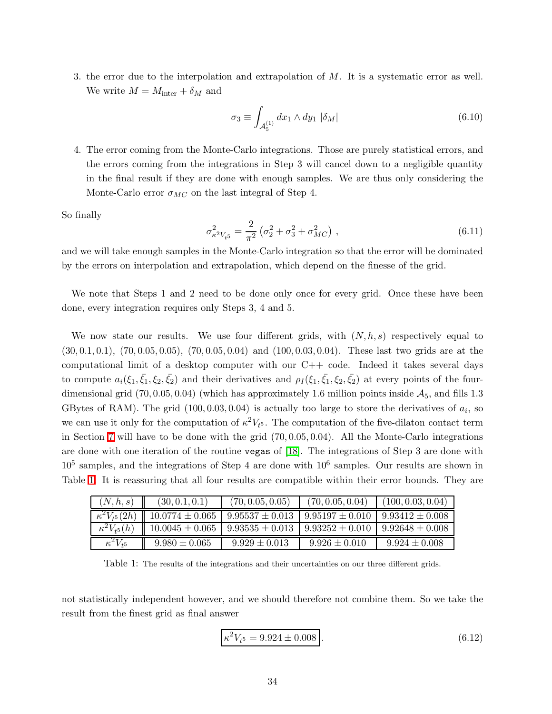3. the error due to the interpolation and extrapolation of M. It is a systematic error as well. We write  $M = M_{\text{inter}} + \delta_M$  and

$$
\sigma_3 \equiv \int_{\mathcal{A}_5^{(1)}} dx_1 \wedge dy_1 \, |\delta_M| \tag{6.10}
$$

4. The error coming from the Monte-Carlo integrations. Those are purely statistical errors, and the errors coming from the integrations in Step 3 will cancel down to a negligible quantity in the final result if they are done with enough samples. We are thus only considering the Monte-Carlo error  $\sigma_{MC}$  on the last integral of Step 4.

So finally

$$
\sigma_{\kappa^2 V_{t5}}^2 = \frac{2}{\pi^2} \left( \sigma_2^2 + \sigma_3^2 + \sigma_{MC}^2 \right) , \qquad (6.11)
$$

and we will take enough samples in the Monte-Carlo integration so that the error will be dominated by the errors on interpolation and extrapolation, which depend on the finesse of the grid.

We note that Steps 1 and 2 need to be done only once for every grid. Once these have been done, every integration requires only Steps 3, 4 and 5.

We now state our results. We use four different grids, with  $(N, h, s)$  respectively equal to (30, 0.1, 0.1), (70, 0.05, 0.05), (70, 0.05, 0.04) and (100, 0.03, 0.04). These last two grids are at the computational limit of a desktop computer with our  $C++$  code. Indeed it takes several days to compute  $a_i(\xi_1,\bar{\xi}_1,\xi_2,\bar{\xi}_2)$  and their derivatives and  $\rho_I(\xi_1,\bar{\xi}_1,\xi_2,\bar{\xi}_2)$  at every points of the fourdimensional grid  $(70, 0.05, 0.04)$  (which has approximately 1.6 million points inside  $\mathcal{A}_5$ , and fills 1.3 GBytes of RAM). The grid  $(100, 0.03, 0.04)$  is actually too large to store the derivatives of  $a_i$ , so we can use it only for the computation of  $\kappa^2 V_{t^5}$ . The computation of the five-dilaton contact term in Section [7](#page-34-0) will have to be done with the grid (70, 0.05, 0.04). All the Monte-Carlo integrations are done with one iteration of the routine vegas of [\[18\]](#page-44-2). The integrations of Step 3 are done with  $10<sup>5</sup>$  samples, and the integrations of Step 4 are done with  $10<sup>6</sup>$  samples. Our results are shown in Table [1.](#page-33-0) It is reassuring that all four results are compatible within their error bounds. They are

| (N, h, s)              | (30, 0.1, 0.1)      | (70, 0.05, 0.05)    | (70, 0.05, 0.04)    | (100, 0.03, 0.04)   |
|------------------------|---------------------|---------------------|---------------------|---------------------|
| $\kappa^2 V_{t^5}(2h)$ | $10.0774 \pm 0.065$ | $9.95537 \pm 0.013$ | $9.95197 \pm 0.010$ | $9.93412 \pm 0.008$ |
| $\kappa^2 V_{t5}(h)$   | $10.0045 \pm 0.065$ | $9.93535 \pm 0.013$ | $9.93252 \pm 0.010$ | $9.92648 \pm 0.008$ |
| $\kappa^2 V_{t^5}$     | $9.980 \pm 0.065$   | $9.929 \pm 0.013$   | $9.926 \pm 0.010$   | $9.924 \pm 0.008$   |

<span id="page-33-0"></span>Table 1: The results of the integrations and their uncertainties on our three different grids.

not statistically independent however, and we should therefore not combine them. So we take the result from the finest grid as final answer

<span id="page-33-1"></span>
$$
\kappa^2 V_{t^5} = 9.924 \pm 0.008 \,. \tag{6.12}
$$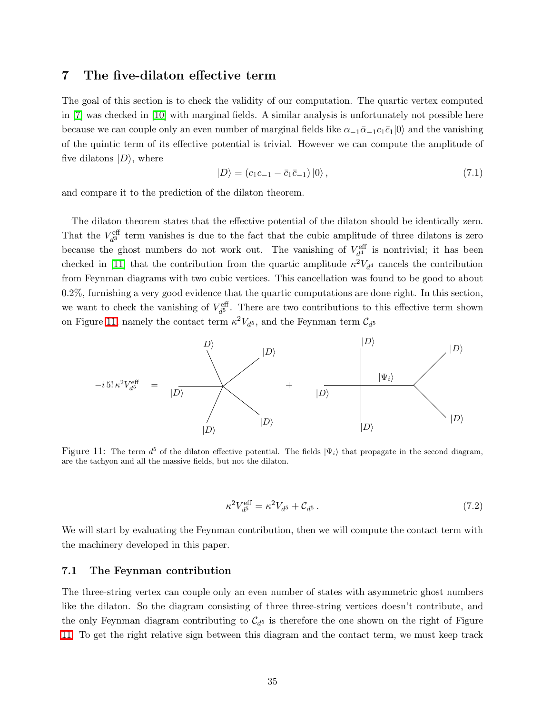## <span id="page-34-0"></span>7 The five-dilaton effective term

<span id="page-34-3"></span>The goal of this section is to check the validity of our computation. The quartic vertex computed in [\[7\]](#page-43-6) was checked in [\[10\]](#page-43-9) with marginal fields. A similar analysis is unfortunately not possible here because we can couple only an even number of marginal fields like  $\alpha_{-1}\bar{\alpha}_{-1}c_1\bar{c}_1|0\rangle$  and the vanishing of the quintic term of its effective potential is trivial. However we can compute the amplitude of five dilatons  $|D\rangle$ , where

$$
|D\rangle = (c_1c_{-1} - \bar{c}_1\bar{c}_{-1})|0\rangle, \qquad (7.1)
$$

and compare it to the prediction of the dilaton theorem.

The dilaton theorem states that the effective potential of the dilaton should be identically zero. That the  $V_{d}^{\text{eff}}$  term vanishes is due to the fact that the cubic amplitude of three dilatons is zero because the ghost numbers do not work out. The vanishing of  $V_{d}^{\text{eff}}$  is nontrivial; it has been checked in [\[11\]](#page-43-10) that the contribution from the quartic amplitude  $\kappa^2 V_{d^4}$  cancels the contribution from Feynman diagrams with two cubic vertices. This cancellation was found to be good to about 0.2%, furnishing a very good evidence that the quartic computations are done right. In this section, we want to check the vanishing of  $V_{d}^{\text{eff}}$ . There are two contributions to this effective term shown on Figure [11,](#page-34-2) namely the contact term  $\kappa^2 V_{d^5}$ , and the Feynman term  $\mathcal{C}_{d^5}$ 



<span id="page-34-2"></span>Figure 11: The term  $d^5$  of the dilaton effective potential. The fields  $|\Psi_i\rangle$  that propagate in the second diagram, are the tachyon and all the massive fields, but not the dilaton.

$$
\kappa^2 V_{d^5}^{\text{eff}} = \kappa^2 V_{d^5} + \mathcal{C}_{d^5} \,. \tag{7.2}
$$

We will start by evaluating the Feynman contribution, then we will compute the contact term with the machinery developed in this paper.

#### <span id="page-34-1"></span>7.1 The Feynman contribution

The three-string vertex can couple only an even number of states with asymmetric ghost numbers like the dilaton. So the diagram consisting of three three-string vertices doesn't contribute, and the only Feynman diagram contributing to  $\mathcal{C}_{d^5}$  is therefore the one shown on the right of Figure [11.](#page-34-2) To get the right relative sign between this diagram and the contact term, we must keep track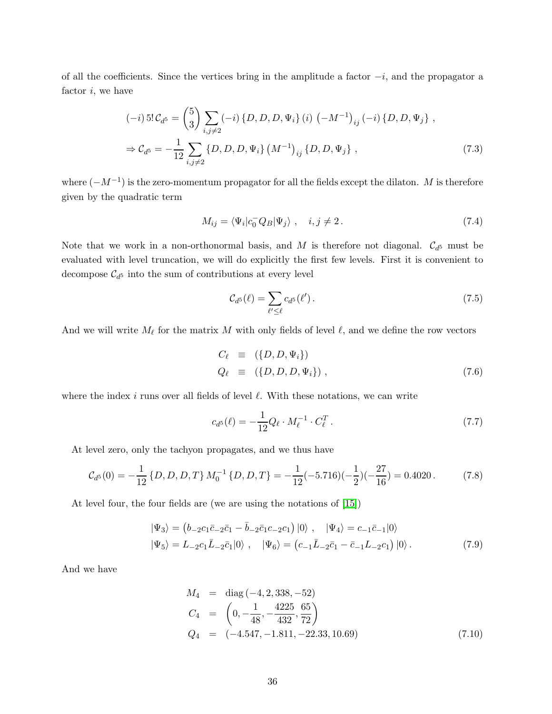of all the coefficients. Since the vertices bring in the amplitude a factor  $-i$ , and the propagator a factor  $i$ , we have

$$
(-i) 5! C_{d^5} = {5 \choose 3} \sum_{i,j \neq 2} (-i) \{D, D, D, \Psi_i\} (i) (-M^{-1})_{ij} (-i) \{D, D, \Psi_j\},
$$
  

$$
\Rightarrow C_{d^5} = -\frac{1}{12} \sum_{i,j \neq 2} \{D, D, D, \Psi_i\} (M^{-1})_{ij} \{D, D, \Psi_j\},
$$
 (7.3)

where  $(-M^{-1})$  is the zero-momentum propagator for all the fields except the dilaton. M is therefore given by the quadratic term

$$
M_{ij} = \langle \Psi_i | c_0^- Q_B | \Psi_j \rangle \ , \quad i, j \neq 2 \,. \tag{7.4}
$$

Note that we work in a non-orthonormal basis, and M is therefore not diagonal.  $\mathcal{C}_{d^5}$  must be evaluated with level truncation, we will do explicitly the first few levels. First it is convenient to decompose  $\mathcal{C}_{d^5}$  into the sum of contributions at every level

$$
\mathcal{C}_{d^5}(\ell) = \sum_{\ell' \le \ell} c_{d^5}(\ell'). \tag{7.5}
$$

And we will write  $M_{\ell}$  for the matrix M with only fields of level  $\ell$ , and we define the row vectors

<span id="page-35-0"></span>
$$
C_{\ell} \equiv (\{D, D, \Psi_i\})
$$
  
\n
$$
Q_{\ell} \equiv (\{D, D, D, \Psi_i\}),
$$
\n(7.6)

where the index i runs over all fields of level  $\ell$ . With these notations, we can write

$$
c_{d^{5}}(\ell) = -\frac{1}{12}Q_{\ell} \cdot M_{\ell}^{-1} \cdot C_{\ell}^{T}.
$$
\n(7.7)

At level zero, only the tachyon propagates, and we thus have

$$
\mathcal{C}_{d^5}(0) = -\frac{1}{12} \left\{ D, D, D, T \right\} M_0^{-1} \left\{ D, D, T \right\} = -\frac{1}{12} (-5.716)(-\frac{1}{2})(-\frac{27}{16}) = 0.4020. \tag{7.8}
$$

At level four, the four fields are (we are using the notations of [\[15\]](#page-43-14))

$$
|\Psi_3\rangle = (b_{-2}c_1\bar{c}_{-2}\bar{c}_1 - \bar{b}_{-2}\bar{c}_1c_{-2}c_1) |0\rangle , \quad |\Psi_4\rangle = c_{-1}\bar{c}_{-1}|0\rangle |\Psi_5\rangle = L_{-2}c_1\bar{L}_{-2}\bar{c}_1|0\rangle , \quad |\Psi_6\rangle = (c_{-1}\bar{L}_{-2}\bar{c}_1 - \bar{c}_{-1}L_{-2}c_1) |0\rangle.
$$
 (7.9)

And we have

$$
M_4 = \text{diag}(-4, 2, 338, -52)
$$
  
\n
$$
C_4 = \left(0, -\frac{1}{48}, -\frac{4225}{432}, \frac{65}{72}\right)
$$
  
\n
$$
Q_4 = (-4.547, -1.811, -22.33, 10.69)
$$
\n(7.10)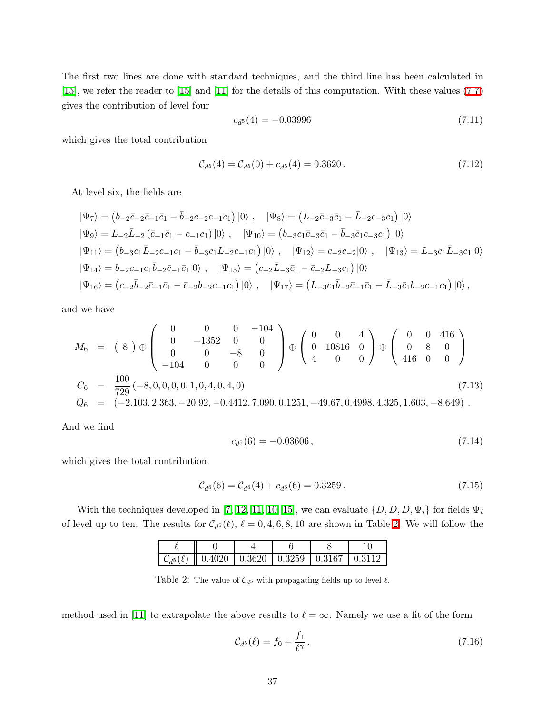The first two lines are done with standard techniques, and the third line has been calculated in [\[15\]](#page-43-14), we refer the reader to [\[15\]](#page-43-14) and [\[11\]](#page-43-10) for the details of this computation. With these values [\(7.7\)](#page-35-0) gives the contribution of level four

$$
c_{d^5}(4) = -0.03996\tag{7.11}
$$

which gives the total contribution

$$
\mathcal{C}_{d^5}(4) = \mathcal{C}_{d^5}(0) + c_{d^5}(4) = 0.3620. \tag{7.12}
$$

At level six, the fields are

$$
\begin{aligned}\n|\Psi_7\rangle &= \left(b_{-2}\bar{c}_{-2}\bar{c}_{-1}\bar{c}_{1} - \bar{b}_{-2}c_{-2}c_{-1}c_{1}\right)|0\rangle \; , & |\Psi_8\rangle &= \left(L_{-2}\bar{c}_{-3}\bar{c}_{1} - \bar{L}_{-2}c_{-3}c_{1}\right)|0\rangle \\
|\Psi_9\rangle &= L_{-2}\bar{L}_{-2}\left(\bar{c}_{-1}\bar{c}_{1} - c_{-1}c_{1}\right)|0\rangle \; , & |\Psi_{10}\rangle &= \left(b_{-3}c_{1}\bar{c}_{-3}\bar{c}_{1} - \bar{b}_{-3}\bar{c}_{1}c_{-3}c_{1}\right)|0\rangle \\
|\Psi_{11}\rangle &= \left(b_{-3}c_{1}\bar{L}_{-2}\bar{c}_{-1}\bar{c}_{1} - \bar{b}_{-3}\bar{c}_{1}L_{-2}c_{-1}c_{1}\right)|0\rangle \; , & |\Psi_{12}\rangle &= c_{-2}\bar{c}_{-2}|0\rangle \; , & |\Psi_{13}\rangle &= L_{-3}c_{1}\bar{L}_{-3}\bar{c}_{1}|0\rangle \\
|\Psi_{14}\rangle &= b_{-2}c_{-1}c_{1}\bar{b}_{-2}\bar{c}_{-1}\bar{c}_{1}|0\rangle \; , & |\Psi_{15}\rangle &= \left(c_{-2}\bar{L}_{-3}\bar{c}_{1} - \bar{c}_{-2}L_{-3}c_{1}\right)|0\rangle \\
|\Psi_{16}\rangle &= \left(c_{-2}\bar{b}_{-2}\bar{c}_{-1}\bar{c}_{1} - \bar{c}_{-2}b_{-2}c_{-1}c_{1}\right)|0\rangle \; , & |\Psi_{17}\rangle &= \left(L_{-3}c_{1}\bar{b}_{-2}\bar{c}_{-1}\bar{c}_{1} - \bar{L}_{-3}\bar{c}_{1}b_{-2}c_{-1}c_{1}\right)|0\rangle \; ,\n\end{aligned}
$$

and we have

$$
M_6 = (8) \oplus \begin{pmatrix} 0 & 0 & 0 & -104 \\ 0 & -1352 & 0 & 0 \\ 0 & 0 & -8 & 0 \\ -104 & 0 & 0 & 0 \end{pmatrix} \oplus \begin{pmatrix} 0 & 0 & 4 \\ 0 & 10816 & 0 \\ 4 & 0 & 0 \end{pmatrix} \oplus \begin{pmatrix} 0 & 0 & 416 \\ 0 & 8 & 0 \\ 416 & 0 & 0 \end{pmatrix}
$$
  
\n
$$
C_6 = \frac{100}{729} (-8, 0, 0, 0, 0, 1, 0, 4, 0, 4, 0)
$$
  
\n
$$
Q_6 = (-2.103, 2.363, -20.92, -0.4412, 7.090, 0.1251, -49.67, 0.4998, 4.325, 1.603, -8.649) .
$$
\n(7.13)

And we find

$$
c_{d^5}(6) = -0.03606\,,\tag{7.14}
$$

which gives the total contribution

$$
\mathcal{C}_{d^5}(6) = \mathcal{C}_{d^5}(4) + c_{d^5}(6) = 0.3259. \tag{7.15}
$$

With the techniques developed in [\[7,](#page-43-6) [12,](#page-43-11) [11,](#page-43-10) [10,](#page-43-9) [15\]](#page-43-14), we can evaluate  $\{D, D, D, \Psi_i\}$  for fields  $\Psi_i$ of level up to ten. The results for  $C_{d^5}(\ell)$ ,  $\ell = 0, 4, 6, 8, 10$  are shown in Table [2.](#page-36-0) We will follow the

| $\boxed{\mathcal{C}_{d^5}(\ell)$ 0.4020 0.3620 0.3259 0.3167 0.3112 |  |  |
|---------------------------------------------------------------------|--|--|

<span id="page-36-0"></span>Table 2: The value of  $C_{d^5}$  with propagating fields up to level  $\ell$ .

method used in [\[11\]](#page-43-10) to extrapolate the above results to  $\ell = \infty$ . Namely we use a fit of the form

<span id="page-36-1"></span>
$$
\mathcal{C}_{d^5}(\ell) = f_0 + \frac{f_1}{\ell^{\gamma}}.\tag{7.16}
$$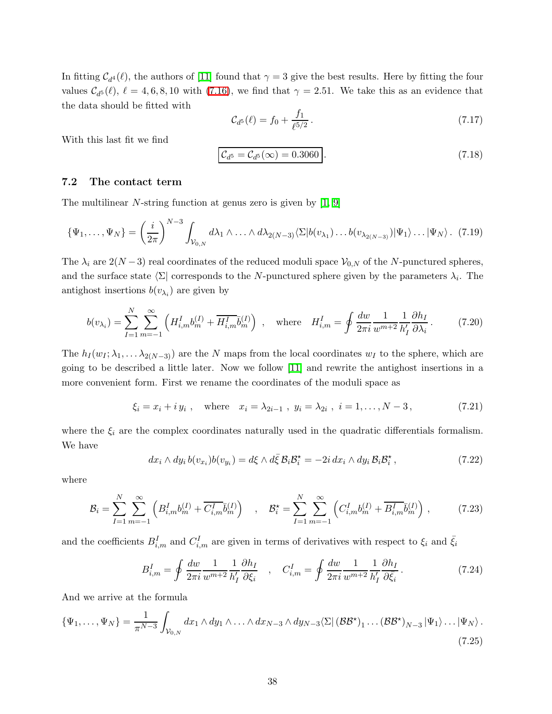In fitting  $C_{d^4}(\ell)$ , the authors of [\[11\]](#page-43-10) found that  $\gamma = 3$  give the best results. Here by fitting the four values  $C_{d}(\ell), \ell = 4, 6, 8, 10$  with [\(7.16\)](#page-36-1), we find that  $\gamma = 2.51$ . We take this as an evidence that the data should be fitted with

$$
\mathcal{C}_{d^5}(\ell) = f_0 + \frac{f_1}{\ell^{5/2}}.\tag{7.17}
$$

<span id="page-37-3"></span>With this last fit we find

$$
\mathcal{C}_{d^5} = \mathcal{C}_{d^5}(\infty) = 0.3060 \,. \tag{7.18}
$$

### <span id="page-37-0"></span>7.2 The contact term

The multilinear  $N$ -string function at genus zero is given by  $[1, 9]$  $[1, 9]$ 

$$
\{\Psi_1,\ldots,\Psi_N\} = \left(\frac{i}{2\pi}\right)^{N-3} \int_{\mathcal{V}_{0,N}} d\lambda_1 \wedge \ldots \wedge d\lambda_{2(N-3)} \langle \Sigma | b(v_{\lambda_1}) \ldots b(v_{\lambda_{2(N-3)}}) | \Psi_1 \rangle \ldots |\Psi_N \rangle. \tag{7.19}
$$

The  $\lambda_i$  are  $2(N-3)$  real coordinates of the reduced moduli space  $\mathcal{V}_{0,N}$  of the N-punctured spheres, and the surface state  $\langle \Sigma |$  corresponds to the N-punctured sphere given by the parameters  $\lambda_i$ . The antighost insertions  $b(v_{\lambda_i})$  are given by

$$
b(v_{\lambda_i}) = \sum_{I=1}^{N} \sum_{m=-1}^{\infty} \left( H_{i,m}^I b_m^{(I)} + \overline{H_{i,m}^I} \overline{b}_m^{(I)} \right) , \text{ where } H_{i,m}^I = \oint \frac{dw}{2\pi i} \frac{1}{w^{m+2}} \frac{1}{h_I'} \frac{\partial h_I}{\partial \lambda_i} .
$$
 (7.20)

The  $h_I(w_I; \lambda_1, \ldots \lambda_{2(N-3)})$  are the N maps from the local coordinates  $w_I$  to the sphere, which are going to be described a little later. Now we follow [\[11\]](#page-43-10) and rewrite the antighost insertions in a more convenient form. First we rename the coordinates of the moduli space as

$$
\xi_i = x_i + iy_i
$$
, where  $x_i = \lambda_{2i-1}$ ,  $y_i = \lambda_{2i}$ ,  $i = 1, ..., N - 3$ , (7.21)

where the  $\xi_i$  are the complex coordinates naturally used in the quadratic differentials formalism. We have

<span id="page-37-2"></span>
$$
dx_i \wedge dy_i b(v_{x_i}) b(v_{y_i}) = d\xi \wedge d\overline{\xi} \mathcal{B}_i \mathcal{B}_i^* = -2i dx_i \wedge dy_i \mathcal{B}_i \mathcal{B}_i^*,
$$
\n(7.22)

where

$$
\mathcal{B}_{i} = \sum_{I=1}^{N} \sum_{m=-1}^{\infty} \left( B_{i,m}^{I} b_{m}^{(I)} + \overline{C_{i,m}^{I}} \overline{b}_{m}^{(I)} \right) , \quad \mathcal{B}_{i}^{\star} = \sum_{I=1}^{N} \sum_{m=-1}^{\infty} \left( C_{i,m}^{I} b_{m}^{(I)} + \overline{B_{i,m}^{I}} \overline{b}_{m}^{(I)} \right) , \tag{7.23}
$$

and the coefficients  $B_{i,m}^I$  and  $C_{i,m}^I$  are given in terms of derivatives with respect to  $\xi_i$  and  $\bar{\xi}_i$ 

<span id="page-37-1"></span>
$$
B_{i,m}^I = \oint \frac{dw}{2\pi i} \frac{1}{w^{m+2}} \frac{\partial h_I}{h_I'} \frac{\partial h_I}{\partial \xi_i} \quad , \quad C_{i,m}^I = \oint \frac{dw}{2\pi i} \frac{1}{w^{m+2}} \frac{\partial h_I}{h_I'} \frac{\partial h_I}{\partial \bar{\xi}_i} \,. \tag{7.24}
$$

And we arrive at the formula

$$
\{\Psi_1,\ldots,\Psi_N\} = \frac{1}{\pi^{N-3}} \int_{\mathcal{V}_{0,N}} dx_1 \wedge dy_1 \wedge \ldots \wedge dx_{N-3} \wedge dy_{N-3} \langle \Sigma | (\mathcal{BB}^{\star})_1 \ldots (\mathcal{BB}^{\star})_{N-3} | \Psi_1 \rangle \ldots |\Psi_N \rangle.
$$
\n(7.25)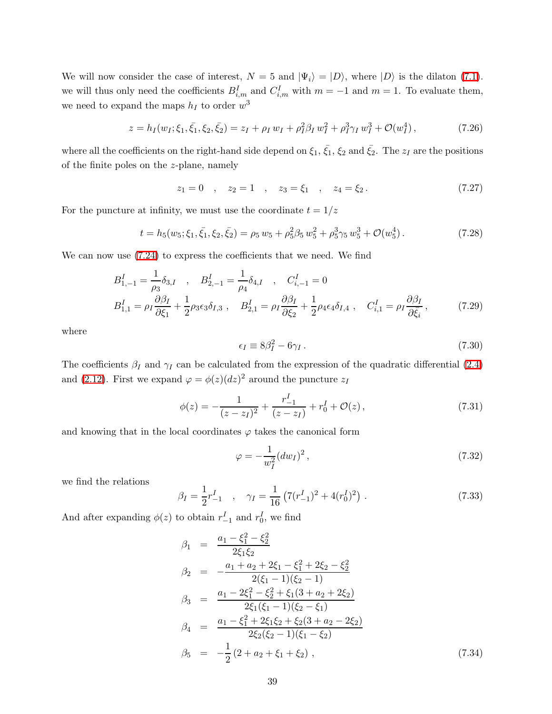We will now consider the case of interest,  $N = 5$  and  $|\Psi_i\rangle = |D\rangle$ , where  $|D\rangle$  is the dilaton [\(7.1\)](#page-34-3). we will thus only need the coefficients  $B_{i,m}^I$  and  $C_{i,m}^I$  with  $m = -1$  and  $m = 1$ . To evaluate them, we need to expand the maps  $h_I$  to order  $w^3$ 

<span id="page-38-0"></span>
$$
z = h_I(w_I; \xi_1, \bar{\xi_1}, \xi_2, \bar{\xi_2}) = z_I + \rho_I w_I + \rho_I^2 \beta_I w_I^2 + \rho_I^3 \gamma_I w_I^3 + \mathcal{O}(w_I^4) \,, \tag{7.26}
$$

where all the coefficients on the right-hand side depend on  $\xi_1$ ,  $\bar{\xi_1}$ ,  $\xi_2$  and  $\bar{\xi_2}$ . The  $z_I$  are the positions of the finite poles on the z-plane, namely

$$
z_1 = 0
$$
,  $z_2 = 1$ ,  $z_3 = \xi_1$ ,  $z_4 = \xi_2$ . (7.27)

For the puncture at infinity, we must use the coordinate  $t = 1/z$ 

$$
t = h_5(w_5; \xi_1, \bar{\xi}_1, \xi_2, \bar{\xi}_2) = \rho_5 w_5 + \rho_5^2 \beta_5 w_5^2 + \rho_5^3 \gamma_5 w_5^3 + \mathcal{O}(w_5^4).
$$
 (7.28)

<span id="page-38-1"></span>We can now use  $(7.24)$  to express the coefficients that we need. We find

$$
B_{1,-1}^{I} = \frac{1}{\rho_3} \delta_{3,I} , B_{2,-1}^{I} = \frac{1}{\rho_4} \delta_{4,I} , C_{i,-1}^{I} = 0
$$
  
\n
$$
B_{1,1}^{I} = \rho_I \frac{\partial \beta_I}{\partial \xi_1} + \frac{1}{2} \rho_3 \epsilon_3 \delta_{I,3} , B_{2,1}^{I} = \rho_I \frac{\partial \beta_I}{\partial \xi_2} + \frac{1}{2} \rho_4 \epsilon_4 \delta_{I,4} , C_{i,1}^{I} = \rho_I \frac{\partial \beta_I}{\partial \bar{\xi}_i} ,
$$
(7.29)

where

$$
\epsilon_I \equiv 8\beta_I^2 - 6\gamma_I \,. \tag{7.30}
$$

The coefficients  $\beta_I$  and  $\gamma_I$  can be calculated from the expression of the quadratic differential [\(2.4\)](#page-5-1) and [\(2.12\)](#page-7-0). First we expand  $\varphi = \phi(z) (dz)^2$  around the puncture  $z_I$ 

$$
\phi(z) = -\frac{1}{(z - z_I)^2} + \frac{r_{-1}^I}{(z - z_I)} + r_0^I + \mathcal{O}(z),\tag{7.31}
$$

and knowing that in the local coordinates  $\varphi$  takes the canonical form

$$
\varphi = -\frac{1}{w_I^2} (dw_I)^2 \,,\tag{7.32}
$$

we find the relations

$$
\beta_I = \frac{1}{2}r_{-1}^I \quad , \quad \gamma_I = \frac{1}{16} \left(7(r_{-1}^I)^2 + 4(r_0^I)^2\right) \,. \tag{7.33}
$$

<span id="page-38-2"></span>And after expanding  $\phi(z)$  to obtain  $r_{-1}^I$  and  $r_0^I$ , we find

$$
\beta_1 = \frac{a_1 - \xi_1^2 - \xi_2^2}{2\xi_1\xi_2}
$$
\n
$$
\beta_2 = -\frac{a_1 + a_2 + 2\xi_1 - \xi_1^2 + 2\xi_2 - \xi_2^2}{2(\xi_1 - 1)(\xi_2 - 1)}
$$
\n
$$
\beta_3 = \frac{a_1 - 2\xi_1^2 - \xi_2^2 + \xi_1(3 + a_2 + 2\xi_2)}{2\xi_1(\xi_1 - 1)(\xi_2 - \xi_1)}
$$
\n
$$
\beta_4 = \frac{a_1 - \xi_1^2 + 2\xi_1\xi_2 + \xi_2(3 + a_2 - 2\xi_2)}{2\xi_2(\xi_2 - 1)(\xi_1 - \xi_2)}
$$
\n
$$
\beta_5 = -\frac{1}{2}(2 + a_2 + \xi_1 + \xi_2), \qquad (7.34)
$$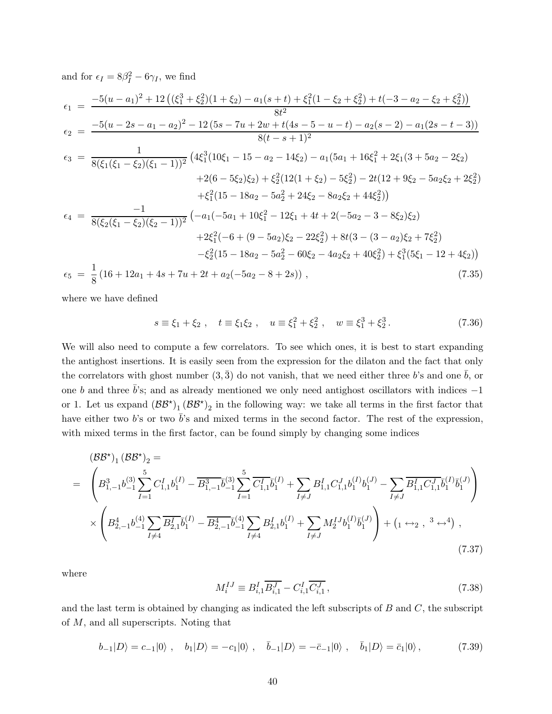<span id="page-39-1"></span>and for  $\epsilon_I = 8\beta_I^2 - 6\gamma_I$ , we find  $\epsilon_1 = \frac{-5(u-a_1)^2 + 12((\xi_1^3 + \xi_2^2)(1+\xi_2) - a_1(s+t) + \xi_1^2(1-\xi_2+\xi_2^2) + t(-3-a_2-\xi_2+\xi_2^2))}{\xi_1^2}$  $8t^2$  $\epsilon_2 = \frac{-5(u-2s-a_1-a_2)^2 - 12(5s-7u+2w+t(4s-5-u-t)-a_2(s-2)-a_1(2s-t-3))}{8(t-s+1)^2}$  $8(t-s+1)^2$  $\epsilon_3 = \frac{1}{\sqrt{2\pi\epsilon_3} \sqrt{2\pi\epsilon_3} \sqrt{2\pi\epsilon_3} \sqrt{2\pi\epsilon_3} \sqrt{2\pi\epsilon_3} \sqrt{2\pi\epsilon_3} \sqrt{2\pi\epsilon_3} \sqrt{2\pi\epsilon_3}$  $\frac{1}{8(\xi_1(\xi_1 - \xi_2)(\xi_1 - 1))^2} \left(4\xi_1^3(10\xi_1 - 15 - a_2 - 14\xi_2) - a_1(5a_1 + 16\xi_1^2 + 2\xi_1(3 + 5a_2 - 2\xi_2)\right)$  $+2(6-5\xi_2)\xi_2$  +  $\xi_2^2(12(1+\xi_2)-5\xi_2^2)$  -  $2t(12+9\xi_2-5a_2\xi_2+2\xi_2^2)$  $+\xi_1^2(15-18a_2-5a_2^2+24\xi_2-8a_2\xi_2+44\xi_2^2)$  $\epsilon_4 = \frac{-1}{\sqrt{2\pi\left(\frac{c}{c} + \frac{c}{c}\right)}}$  $\frac{-1}{8(\xi_2(\xi_1 - \xi_2)(\xi_2 - 1))^2} \left( -a_1(-5a_1 + 10\xi_1^2 - 12\xi_1 + 4t + 2(-5a_2 - 3 - 8\xi_2)\xi_2 \right)$  $+2\xi_1^2(-6+(9-5a_2)\xi_2-22\xi_2^2)+8t(3-(3-a_2)\xi_2+7\xi_2^2)$  $-\xi_2^2(15 - 18a_2 - 5a_2^2 - 60\xi_2 - 4a_2\xi_2 + 40\xi_2^2) + \xi_1^3(5\xi_1 - 12 + 4\xi_2)$  $\epsilon_5 = \frac{1}{8}$  $\frac{1}{8}(16 + 12a_1 + 4s + 7u + 2t + a_2(-5a_2 - 8 + 2s))$ , (7.35)

where we have defined

$$
s \equiv \xi_1 + \xi_2
$$
,  $t \equiv \xi_1 \xi_2$ ,  $u \equiv \xi_1^2 + \xi_2^2$ ,  $w \equiv \xi_1^3 + \xi_2^3$ . (7.36)

We will also need to compute a few correlators. To see which ones, it is best to start expanding the antighost insertions. It is easily seen from the expression for the dilaton and the fact that only the correlators with ghost number  $(3,\bar{3})$  do not vanish, that we need either three b's and one b, or one b and three  $\bar{b}$ 's; and as already mentioned we only need antighost oscillators with indices  $-1$ or 1. Let us expand  $(\mathcal{BB}^*)_1 (\mathcal{BB}^*)_2$  in the following way: we take all terms in the first factor that have either two b's or two  $\bar{b}$ 's and mixed terms in the second factor. The rest of the expression, with mixed terms in the first factor, can be found simply by changing some indices

<span id="page-39-0"></span>
$$
(BB^*)_1 (BB^*)_2 =
$$
\n
$$
= \left( B_{1,-1}^3 b_{-1}^{(3)} \sum_{I=1}^5 C_{1,1}^I b_I^{(I)} - \overline{B_{1,-1}^3 b_{-1}^{(3)}} \sum_{I=1}^5 \overline{C_{1,1}^I} \overline{b}_I^{(I)} + \sum_{I \neq J} B_{1,1}^I C_{1,1}^J b_I^{(I)} b_I^{(J)} - \sum_{I \neq J} \overline{B_{1,1}^I C_{1,1}^J} \overline{b}_I^{(I)} \overline{b}_I^{(J)} \right)
$$
\n
$$
\times \left( B_{2,-1}^4 b_{-1}^{(4)} \sum_{I \neq 4} \overline{B_{2,1}^I} \overline{b}_I^{(I)} - \overline{B_{2,-1}^4} \overline{b}_{-1}^{(4)} \sum_{I \neq 4} B_{2,1}^I b_I^{(I)} + \sum_{I \neq J} M_2^I J b_I^{(I)} \overline{b}_I^{(J)} \right) + (1 \leftrightarrow_2 , 3 \leftrightarrow_4),
$$
\n(7.37)

where

$$
M_i^{IJ} \equiv B_{i,1}^I \overline{B_{i,1}^J} - C_{i,1}^I \overline{C_{i,1}^J} \,, \tag{7.38}
$$

and the last term is obtained by changing as indicated the left subscripts of  $B$  and  $C$ , the subscript of M, and all superscripts. Noting that

$$
b_{-1}|D\rangle = c_{-1}|0\rangle \ , \quad b_1|D\rangle = -c_1|0\rangle \ , \quad \bar{b}_{-1}|D\rangle = -\bar{c}_{-1}|0\rangle \ , \quad \bar{b}_1|D\rangle = \bar{c}_1|0\rangle \ , \tag{7.39}
$$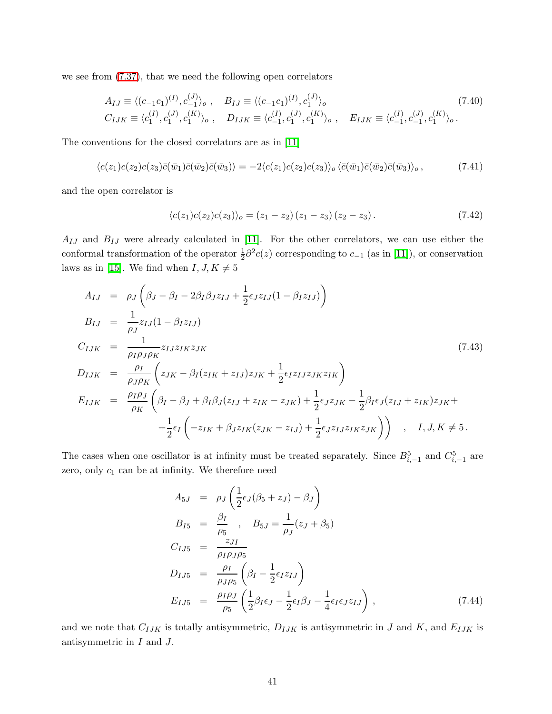<span id="page-40-0"></span>we see from [\(7.37\)](#page-39-0), that we need the following open correlators

$$
A_{IJ} \equiv \langle (c_{-1}c_1)^{(I)}, c_{-1}^{(J)} \rangle_o, \quad B_{IJ} \equiv \langle (c_{-1}c_1)^{(I)}, c_1^{(J)} \rangle_o
$$
  
\n
$$
C_{IJK} \equiv \langle c_1^{(I)}, c_1^{(J)}, c_1^{(K)} \rangle_o, \quad D_{IJK} \equiv \langle c_{-1}^{(I)}, c_1^{(J)}, c_1^{(K)} \rangle_o, \quad E_{IJK} \equiv \langle c_{-1}^{(I)}, c_{-1}^{(J)}, c_1^{(K)} \rangle_o.
$$
\n(7.40)

The conventions for the closed correlators are as in [\[11\]](#page-43-10)

$$
\langle c(z_1)c(z_2)c(z_3)\bar{c}(\bar{w}_1)\bar{c}(\bar{w}_2)\bar{c}(\bar{w}_3)\rangle = -2\langle c(z_1)c(z_2)c(z_3)\rangle_o \langle \bar{c}(\bar{w}_1)\bar{c}(\bar{w}_2)\bar{c}(\bar{w}_3)\rangle_o, \qquad (7.41)
$$

and the open correlator is

$$
\langle c(z_1)c(z_2)c(z_3)\rangle_o = (z_1 - z_2)(z_1 - z_3)(z_2 - z_3). \tag{7.42}
$$

 $A_{IJ}$  and  $B_{IJ}$  were already calculated in [\[11\]](#page-43-10). For the other correlators, we can use either the conformal transformation of the operator  $\frac{1}{2}\partial^2 c(z)$  corresponding to  $c_{-1}$  (as in [\[11\]](#page-43-10)), or conservation laws as in [\[15\]](#page-43-14). We find when  $I, J, K \neq 5$ 

<span id="page-40-1"></span>
$$
A_{IJ} = \rho_J \left( \beta_J - \beta_I - 2\beta_I \beta_J z_{IJ} + \frac{1}{2} \epsilon_J z_{IJ} (1 - \beta_I z_{IJ}) \right)
$$
  
\n
$$
B_{IJ} = \frac{1}{\rho_J} z_{IJ} (1 - \beta_I z_{IJ})
$$
  
\n
$$
C_{IJK} = \frac{1}{\rho_I \rho_J \rho_K} z_{IJ} z_{IK} z_{JK}
$$
  
\n
$$
D_{IJK} = \frac{\rho_I}{\rho_J \rho_K} \left( z_{JK} - \beta_I (z_{IK} + z_{IJ}) z_{JK} + \frac{1}{2} \epsilon_I z_{IJ} z_{JK} z_{IK} \right)
$$
  
\n
$$
E_{IJK} = \frac{\rho_I \rho_J}{\rho_K} \left( \beta_I - \beta_J + \beta_I \beta_J (z_{IJ} + z_{IK} - z_{JK}) + \frac{1}{2} \epsilon_J z_{JK} - \frac{1}{2} \beta_I \epsilon_J (z_{IJ} + z_{IK}) z_{JK} + \frac{1}{2} \epsilon_I \left( -z_{IK} + \beta_J z_{IK} (z_{JK} - z_{IJ}) + \frac{1}{2} \epsilon_J z_{IJ} z_{IK} z_{JK} \right) \right) , I, J, K \neq 5.
$$

The cases when one oscillator is at infinity must be treated separately. Since  $B_{i,-1}^5$  and  $C_{i,-1}^5$  are zero, only  $c_1$  can be at infinity. We therefore need

<span id="page-40-2"></span>
$$
A_{5J} = \rho_J \left( \frac{1}{2} \epsilon_J (\beta_5 + z_J) - \beta_J \right)
$$
  
\n
$$
B_{I5} = \frac{\beta_I}{\rho_5}, \quad B_{5J} = \frac{1}{\rho_J} (z_J + \beta_5)
$$
  
\n
$$
C_{IJ5} = \frac{z_{JI}}{\rho_I \rho_J \rho_5}
$$
  
\n
$$
D_{IJ5} = \frac{\rho_I}{\rho_J \rho_5} \left( \beta_I - \frac{1}{2} \epsilon_I z_{IJ} \right)
$$
  
\n
$$
E_{IJ5} = \frac{\rho_I \rho_J}{\rho_5} \left( \frac{1}{2} \beta_I \epsilon_J - \frac{1}{2} \epsilon_I \beta_J - \frac{1}{4} \epsilon_I \epsilon_J z_{IJ} \right), \tag{7.44}
$$

and we note that  $C_{IJK}$  is totally antisymmetric,  $D_{IJK}$  is antisymmetric in J and K, and  $E_{IJK}$  is antisymmetric in I and J.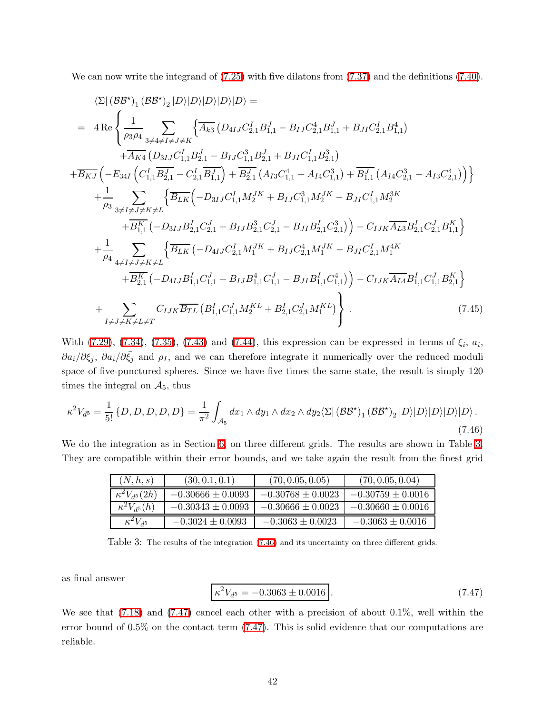We can now write the integrand of  $(7.25)$  with five dilatons from  $(7.37)$  and the definitions  $(7.40)$ .

$$
\langle \Sigma | (BB^{\star})_{1} (BB^{\star})_{2} | D \rangle | D \rangle | D \rangle | D \rangle | D \rangle =
$$
\n
$$
= 4 \text{Re} \left\{ \frac{1}{\rho_{3}\rho_{4}} \sum_{3 \neq 4 \neq I \neq J \neq K} \left\{ \overline{A_{k3}} \left( D_{4IJ} C_{2,1}^{I} B_{1,1}^{J} - B_{IJ} C_{2,1}^{4} B_{1,1}^{J} + B_{JI} C_{2,1}^{I} B_{1,1}^{4} \right) \right. \\ \left. + \overline{B_{KJ}} \left( -E_{34I} \left( C_{1,1}^{I} \overline{B_{2,1}^{J}} - C_{2,1}^{I} \overline{B_{1,1}^{J}} \right) + \overline{B_{2,1}^{J}} \left( A_{IS} C_{1,1}^{4} - A_{IA} C_{1,1}^{3} \right) + \overline{B_{1,1}^{J}} \left( A_{IA} C_{2,1}^{3} - A_{IS} C_{2,1}^{4} \right) \right) \right\}
$$
\n
$$
+ \frac{1}{\rho_{3}} \sum_{3 \neq I \neq J \neq K \neq L} \left\{ \overline{B_{LK}} \left( -D_{3IJ} C_{1,1}^{I} M_{2}^{JK} + B_{IJ} C_{1,1}^{3} M_{2}^{JK} - B_{JI} C_{1,1}^{I} M_{2}^{3K} \right. \\ \left. + \overline{B_{1,1}^{K}} \left( -D_{3IJ} B_{2,1}^{I} C_{2,1}^{J} + B_{IJ} B_{2,1}^{3} C_{2,1}^{J} - B_{JI} B_{2,1}^{I} C_{2,1}^{3} \right) \right) - C_{IJK} \overline{A_{L3}} B_{2,1}^{I} C_{2,1}^{J} B_{1,1}^{K} \right\}
$$
\n
$$
+ \frac{1}{\rho_{4}} \sum_{4 \neq I \neq J \neq K \neq L} \left\{ \overline{B_{LK}} \left( -D_{4IJ} C_{2,1}^{I} M_{1}^{JK} + B_{IJ} C_{2,1}^{4} M_{1}^{IK} - B_{JI} C_{2,1}^{I} M_{1}^{4K} \right.
$$

<span id="page-41-1"></span>With  $(7.29)$ ,  $(7.34)$ ,  $(7.35)$ ,  $(7.43)$  and  $(7.44)$ , this expression can be expressed in terms of  $\xi_i$ ,  $a_i$ ,  $\partial a_i/\partial \xi_j$ ,  $\partial a_i/\partial \bar{\xi_j}$  and  $\rho_I$ , and we can therefore integrate it numerically over the reduced moduli space of five-punctured spheres. Since we have five times the same state, the result is simply 120 times the integral on  $A_5$ , thus

$$
\kappa^2 V_{d^5} = \frac{1}{5!} \left\{ D, D, D, D, D \right\} = \frac{1}{\pi^2} \int_{\mathcal{A}_5} dx_1 \wedge dy_1 \wedge dx_2 \wedge dy_2 \langle \Sigma | \left( \mathcal{B} \mathcal{B}^{\star} \right)_1 (\mathcal{B} \mathcal{B}^{\star})_2 | D \rangle | D \rangle | D \rangle | D \rangle | D \rangle. \tag{7.46}
$$

We do the integration as in Section [6,](#page-30-0) on three different grids. The results are shown in Table [3.](#page-41-0) They are compatible within their error bounds, and we take again the result from the finest grid

| (N, h, s)              | (30, 0.1, 0.1)        | (70, 0.05, 0.05)      | (70, 0.05, 0.04)      |
|------------------------|-----------------------|-----------------------|-----------------------|
| $\kappa^2 V_{d^5}(2h)$ | $-0.30666 \pm 0.0093$ | $-0.30768 \pm 0.0023$ | $-0.30759 \pm 0.0016$ |
| $\kappa^2 V_{d^5}(h)$  | $-0.30343 \pm 0.0093$ | $-0.30666 \pm 0.0023$ | $-0.30660 \pm 0.0016$ |
| $\kappa^2 V_{d^5}$     | $-0.3024 \pm 0.0093$  | $-0.3063 \pm 0.0023$  | $-0.3063 \pm 0.0016$  |

<span id="page-41-0"></span>Table 3: The results of the integration [\(7.46\)](#page-41-1) and its uncertainty on three different grids.

<span id="page-41-2"></span>as final answer

$$
\kappa^2 V_{d^5} = -0.3063 \pm 0.0016 \,. \tag{7.47}
$$

We see that [\(7.18\)](#page-37-3) and [\(7.47\)](#page-41-2) cancel each other with a precision of about 0.1%, well within the error bound of 0.5% on the contact term [\(7.47\)](#page-41-2). This is solid evidence that our computations are reliable.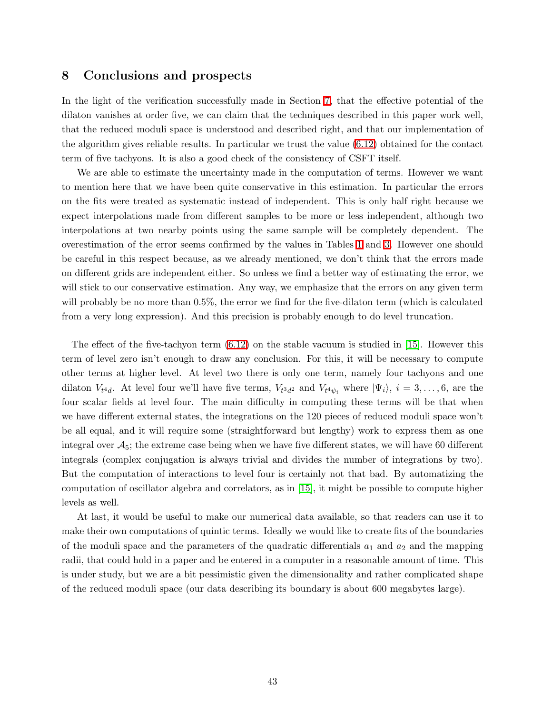## <span id="page-42-0"></span>8 Conclusions and prospects

In the light of the verification successfully made in Section [7,](#page-34-0) that the effective potential of the dilaton vanishes at order five, we can claim that the techniques described in this paper work well, that the reduced moduli space is understood and described right, and that our implementation of the algorithm gives reliable results. In particular we trust the value [\(6.12\)](#page-33-1) obtained for the contact term of five tachyons. It is also a good check of the consistency of CSFT itself.

We are able to estimate the uncertainty made in the computation of terms. However we want to mention here that we have been quite conservative in this estimation. In particular the errors on the fits were treated as systematic instead of independent. This is only half right because we expect interpolations made from different samples to be more or less independent, although two interpolations at two nearby points using the same sample will be completely dependent. The overestimation of the error seems confirmed by the values in Tables [1](#page-33-0) and [3.](#page-41-0) However one should be careful in this respect because, as we already mentioned, we don't think that the errors made on different grids are independent either. So unless we find a better way of estimating the error, we will stick to our conservative estimation. Any way, we emphasize that the errors on any given term will probably be no more than 0.5%, the error we find for the five-dilaton term (which is calculated from a very long expression). And this precision is probably enough to do level truncation.

The effect of the five-tachyon term  $(6.12)$  on the stable vacuum is studied in [\[15\]](#page-43-14). However this term of level zero isn't enough to draw any conclusion. For this, it will be necessary to compute other terms at higher level. At level two there is only one term, namely four tachyons and one dilaton  $V_{t^4d}$ . At level four we'll have five terms,  $V_{t^3d^2}$  and  $V_{t^4\psi_i}$  where  $|\Psi_i\rangle$ ,  $i=3,\ldots,6$ , are the four scalar fields at level four. The main difficulty in computing these terms will be that when we have different external states, the integrations on the 120 pieces of reduced moduli space won't be all equal, and it will require some (straightforward but lengthy) work to express them as one integral over  $A_5$ ; the extreme case being when we have five different states, we will have 60 different integrals (complex conjugation is always trivial and divides the number of integrations by two). But the computation of interactions to level four is certainly not that bad. By automatizing the computation of oscillator algebra and correlators, as in [\[15\]](#page-43-14), it might be possible to compute higher levels as well.

At last, it would be useful to make our numerical data available, so that readers can use it to make their own computations of quintic terms. Ideally we would like to create fits of the boundaries of the moduli space and the parameters of the quadratic differentials  $a_1$  and  $a_2$  and the mapping radii, that could hold in a paper and be entered in a computer in a reasonable amount of time. This is under study, but we are a bit pessimistic given the dimensionality and rather complicated shape of the reduced moduli space (our data describing its boundary is about 600 megabytes large).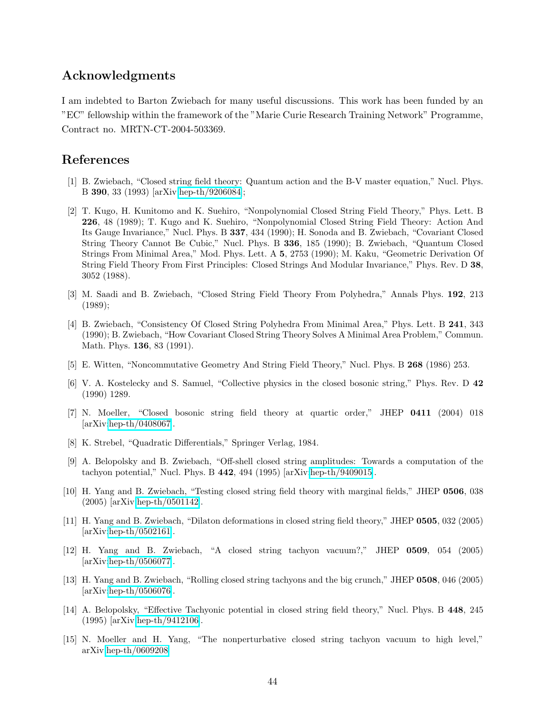## Acknowledgments

I am indebted to Barton Zwiebach for many useful discussions. This work has been funded by an "EC" fellowship within the framework of the "Marie Curie Research Training Network" Programme, Contract no. MRTN-CT-2004-503369.

## <span id="page-43-0"></span>References

- [1] B. Zwiebach, "Closed string field theory: Quantum action and the B-V master equation," Nucl. Phys. B 390, 33 (1993) [arXiv[:hep-th/9206084\]](http://it.arXiv.org/abs/hep-th/9206084);
- <span id="page-43-1"></span>[2] T. Kugo, H. Kunitomo and K. Suehiro, "Nonpolynomial Closed String Field Theory," Phys. Lett. B 226, 48 (1989); T. Kugo and K. Suehiro, "Nonpolynomial Closed String Field Theory: Action And Its Gauge Invariance," Nucl. Phys. B 337, 434 (1990); H. Sonoda and B. Zwiebach, "Covariant Closed String Theory Cannot Be Cubic," Nucl. Phys. B 336, 185 (1990); B. Zwiebach, "Quantum Closed Strings From Minimal Area," Mod. Phys. Lett. A 5, 2753 (1990); M. Kaku, "Geometric Derivation Of String Field Theory From First Principles: Closed Strings And Modular Invariance," Phys. Rev. D 38, 3052 (1988).
- <span id="page-43-2"></span>[3] M. Saadi and B. Zwiebach, "Closed String Field Theory From Polyhedra," Annals Phys. 192, 213 (1989);
- <span id="page-43-3"></span>[4] B. Zwiebach, "Consistency Of Closed String Polyhedra From Minimal Area," Phys. Lett. B 241, 343 (1990); B. Zwiebach, "How Covariant Closed String Theory Solves A Minimal Area Problem," Commun. Math. Phys. 136, 83 (1991).
- <span id="page-43-5"></span><span id="page-43-4"></span>[5] E. Witten, "Noncommutative Geometry And String Field Theory," Nucl. Phys. B 268 (1986) 253.
- [6] V. A. Kostelecky and S. Samuel, "Collective physics in the closed bosonic string," Phys. Rev. D 42 (1990) 1289.
- <span id="page-43-6"></span>[7] N. Moeller, "Closed bosonic string field theory at quartic order," JHEP 0411 (2004) 018 [arXiv[:hep-th/0408067\]](http://it.arXiv.org/abs/hep-th/0408067).
- <span id="page-43-8"></span><span id="page-43-7"></span>[8] K. Strebel, "Quadratic Differentials," Springer Verlag, 1984.
- [9] A. Belopolsky and B. Zwiebach, "Off-shell closed string amplitudes: Towards a computation of the tachyon potential," Nucl. Phys. B 442, 494 (1995) [arXiv[:hep-th/9409015\]](http://it.arXiv.org/abs/hep-th/9409015).
- <span id="page-43-9"></span>[10] H. Yang and B. Zwiebach, "Testing closed string field theory with marginal fields," JHEP 0506, 038 (2005) [arXiv[:hep-th/0501142\]](http://it.arXiv.org/abs/hep-th/0501142).
- <span id="page-43-10"></span>[11] H. Yang and B. Zwiebach, "Dilaton deformations in closed string field theory," JHEP 0505, 032 (2005) [arXiv[:hep-th/0502161\]](http://it.arXiv.org/abs/hep-th/0502161).
- <span id="page-43-11"></span>[12] H. Yang and B. Zwiebach, "A closed string tachyon vacuum?," JHEP 0509, 054 (2005) [arXiv[:hep-th/0506077\]](http://it.arXiv.org/abs/hep-th/0506077).
- <span id="page-43-12"></span>[13] H. Yang and B. Zwiebach, "Rolling closed string tachyons and the big crunch," JHEP 0508, 046 (2005) [arXiv[:hep-th/0506076\]](http://it.arXiv.org/abs/hep-th/0506076).
- <span id="page-43-13"></span>[14] A. Belopolsky, "Effective Tachyonic potential in closed string field theory," Nucl. Phys. B 448, 245 (1995) [arXiv[:hep-th/9412106\]](http://it.arXiv.org/abs/hep-th/9412106).
- <span id="page-43-14"></span>[15] N. Moeller and H. Yang, "The nonperturbative closed string tachyon vacuum to high level," arXiv[:hep-th/0609208.](http://it.arXiv.org/abs/hep-th/0609208)